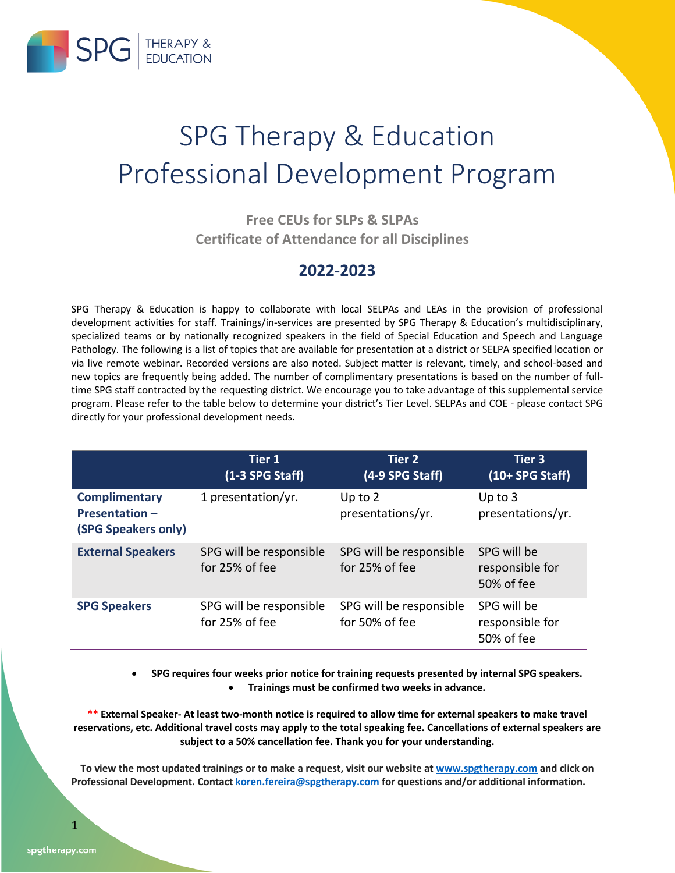

## SPG Therapy & Education Professional Development Program

### **Free CEUs for SLPs & SLPAs Certificate of Attendance for all Disciplines**

### **2022-2023**

SPG Therapy & Education is happy to collaborate with local SELPAs and LEAs in the provision of professional development activities for staff. Trainings/in-services are presented by SPG Therapy & Education's multidisciplinary, specialized teams or by nationally recognized speakers in the field of Special Education and Speech and Language Pathology. The following is a list of topics that are available for presentation at a district or SELPA specified location or via live remote webinar. Recorded versions are also noted. Subject matter is relevant, timely, and school-based and new topics are frequently being added. The number of complimentary presentations is based on the number of fulltime SPG staff contracted by the requesting district. We encourage you to take advantage of this supplemental service program. Please refer to the table below to determine your district's Tier Level. SELPAs and COE - please contact SPG directly for your professional development needs.

|                                                                     | <b>Tier 1</b><br>$(1-3$ SPG Staff)        | <b>Tier 2</b><br>(4-9 SPG Staff)          | <b>Tier 3</b><br>$(10+$ SPG Staff)           |
|---------------------------------------------------------------------|-------------------------------------------|-------------------------------------------|----------------------------------------------|
| <b>Complimentary</b><br><b>Presentation-</b><br>(SPG Speakers only) | 1 presentation/yr.                        | Up to $2$<br>presentations/yr.            | Up to $3$<br>presentations/yr.               |
| <b>External Speakers</b>                                            | SPG will be responsible<br>for 25% of fee | SPG will be responsible<br>for 25% of fee | SPG will be<br>responsible for<br>50% of fee |
| <b>SPG Speakers</b>                                                 | SPG will be responsible<br>for 25% of fee | SPG will be responsible<br>for 50% of fee | SPG will be<br>responsible for<br>50% of fee |

• **SPG requires four weeks prior notice for training requests presented by internal SPG speakers.**  • **Trainings must be confirmed two weeks in advance.** 

**\*\* External Speaker- At least two-month notice is required to allow time for external speakers to make travel reservations, etc. Additional travel costs may apply to the total speaking fee. Cancellations of external speakers are subject to a 50% cancellation fee. Thank you for your understanding.**

**To view the most updated trainings or to make a request, visit our website at www.spgtherapy.com and click on Professional Development. Contact koren.fereira@spgtherapy.com for questions and/or additional information.**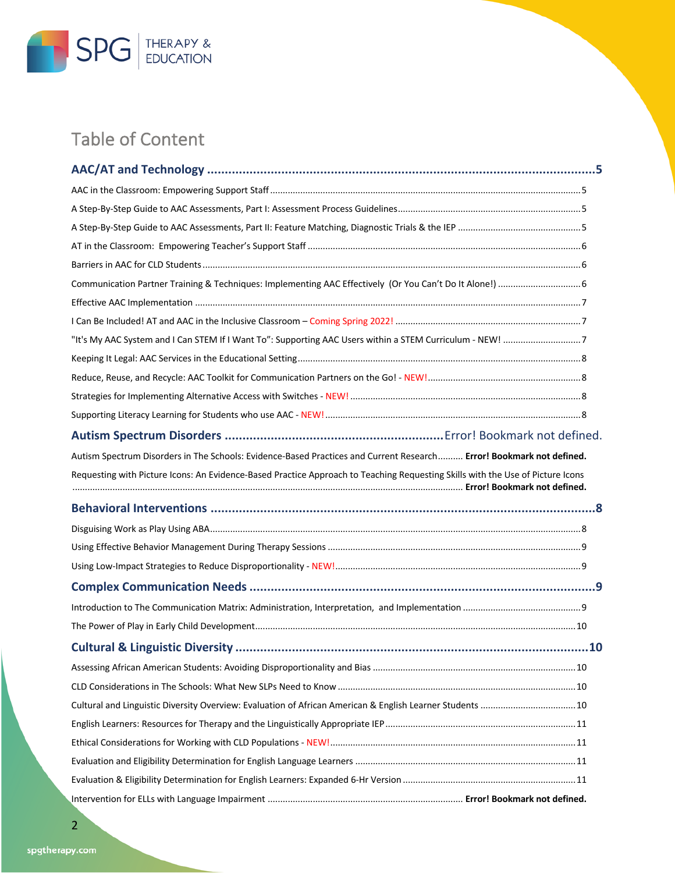

### Table of Content

| "It's My AAC System and I Can STEM If I Want To": Supporting AAC Users within a STEM Curriculum - NEW! 7                       |
|--------------------------------------------------------------------------------------------------------------------------------|
|                                                                                                                                |
|                                                                                                                                |
|                                                                                                                                |
|                                                                                                                                |
|                                                                                                                                |
| Autism Spectrum Disorders in The Schools: Evidence-Based Practices and Current Research Error! Bookmark not defined.           |
| Requesting with Picture Icons: An Evidence-Based Practice Approach to Teaching Requesting Skills with the Use of Picture Icons |
|                                                                                                                                |
|                                                                                                                                |
|                                                                                                                                |
|                                                                                                                                |
|                                                                                                                                |
|                                                                                                                                |
|                                                                                                                                |
|                                                                                                                                |
|                                                                                                                                |
|                                                                                                                                |
|                                                                                                                                |
|                                                                                                                                |
|                                                                                                                                |
|                                                                                                                                |
|                                                                                                                                |
|                                                                                                                                |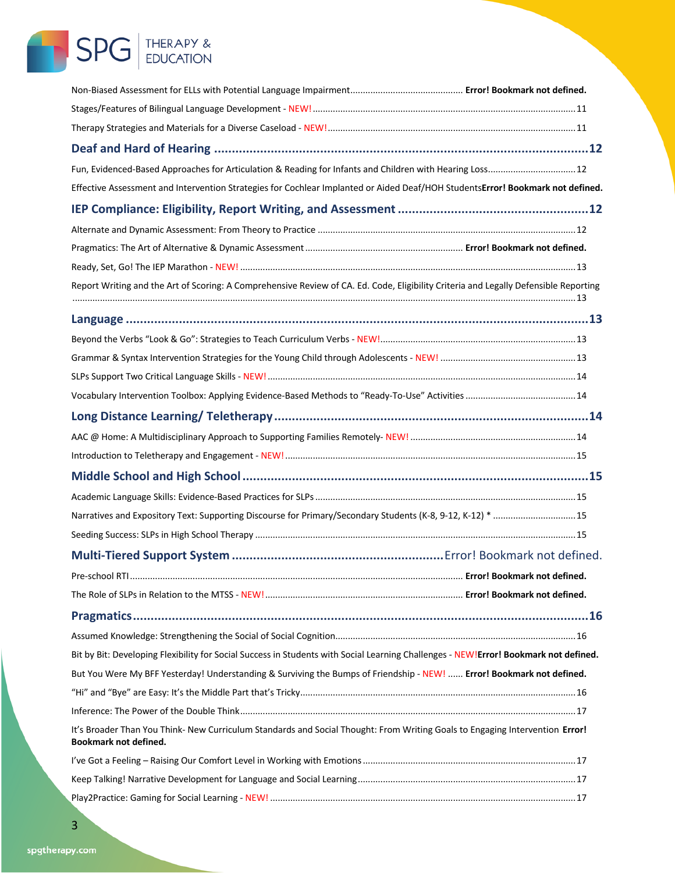## SPG THERAPY &

| Fun, Evidenced-Based Approaches for Articulation & Reading for Infants and Children with Hearing Loss 12                                              |                              |
|-------------------------------------------------------------------------------------------------------------------------------------------------------|------------------------------|
| Effective Assessment and Intervention Strategies for Cochlear Implanted or Aided Deaf/HOH StudentsError! Bookmark not defined.                        |                              |
|                                                                                                                                                       |                              |
|                                                                                                                                                       |                              |
|                                                                                                                                                       |                              |
|                                                                                                                                                       |                              |
| Report Writing and the Art of Scoring: A Comprehensive Review of CA. Ed. Code, Eligibility Criteria and Legally Defensible Reporting                  |                              |
|                                                                                                                                                       |                              |
|                                                                                                                                                       |                              |
|                                                                                                                                                       |                              |
|                                                                                                                                                       |                              |
|                                                                                                                                                       |                              |
|                                                                                                                                                       |                              |
|                                                                                                                                                       |                              |
|                                                                                                                                                       |                              |
|                                                                                                                                                       |                              |
|                                                                                                                                                       |                              |
| Narratives and Expository Text: Supporting Discourse for Primary/Secondary Students (K-8, 9-12, K-12) * 15                                            |                              |
|                                                                                                                                                       |                              |
|                                                                                                                                                       |                              |
| Pre-school RTL                                                                                                                                        | Error! Bookmark not defined. |
|                                                                                                                                                       |                              |
|                                                                                                                                                       |                              |
|                                                                                                                                                       |                              |
| Bit by Bit: Developing Flexibility for Social Success in Students with Social Learning Challenges - NEW!Error! Bookmark not defined.                  |                              |
| But You Were My BFF Yesterday! Understanding & Surviving the Bumps of Friendship - NEW!  Error! Bookmark not defined.                                 |                              |
|                                                                                                                                                       |                              |
|                                                                                                                                                       |                              |
| It's Broader Than You Think- New Curriculum Standards and Social Thought: From Writing Goals to Engaging Intervention Error!<br>Bookmark not defined. |                              |
|                                                                                                                                                       |                              |
|                                                                                                                                                       |                              |
|                                                                                                                                                       |                              |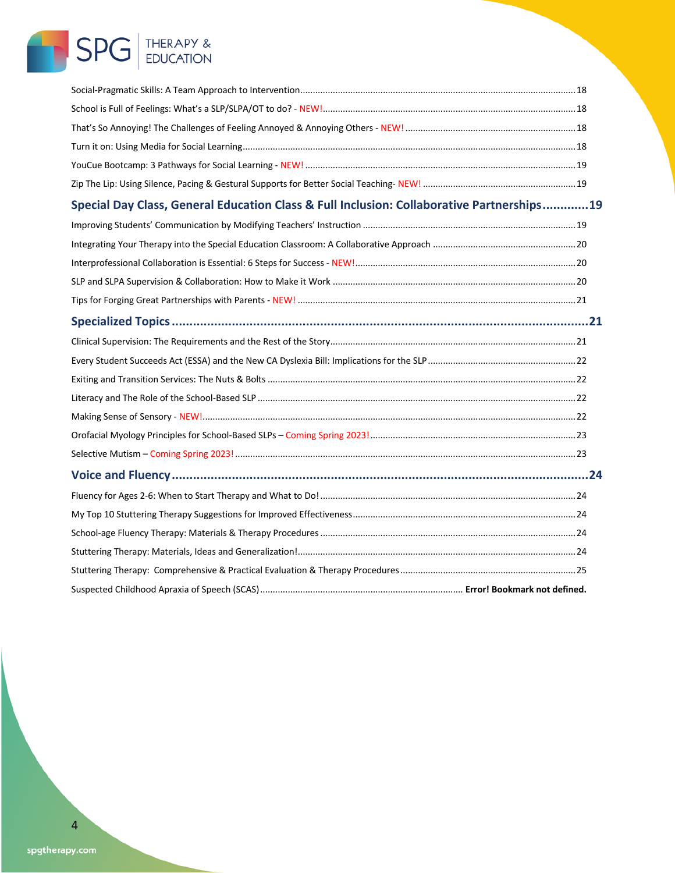# SPG THERAPY &

| Special Day Class, General Education Class & Full Inclusion: Collaborative Partnerships19 |  |  |  |  |
|-------------------------------------------------------------------------------------------|--|--|--|--|
|                                                                                           |  |  |  |  |
|                                                                                           |  |  |  |  |
|                                                                                           |  |  |  |  |
|                                                                                           |  |  |  |  |
|                                                                                           |  |  |  |  |
|                                                                                           |  |  |  |  |
|                                                                                           |  |  |  |  |
|                                                                                           |  |  |  |  |
|                                                                                           |  |  |  |  |
|                                                                                           |  |  |  |  |
|                                                                                           |  |  |  |  |
|                                                                                           |  |  |  |  |
|                                                                                           |  |  |  |  |
|                                                                                           |  |  |  |  |
|                                                                                           |  |  |  |  |
|                                                                                           |  |  |  |  |
|                                                                                           |  |  |  |  |
|                                                                                           |  |  |  |  |
|                                                                                           |  |  |  |  |
|                                                                                           |  |  |  |  |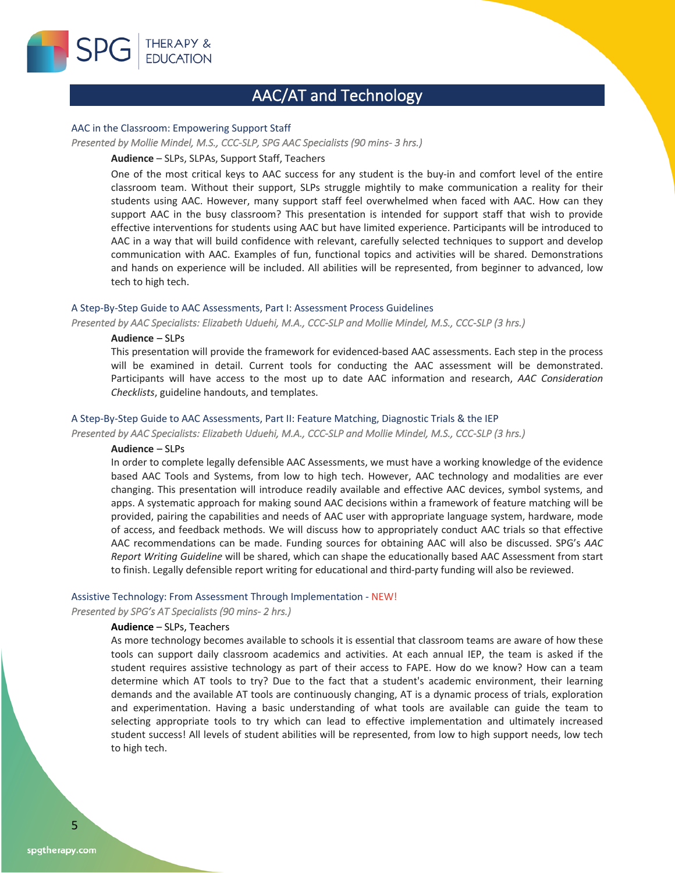

### AAC/AT and Technology

### AAC in the Classroom: Empowering Support Staff

#### *Presented by Mollie Mindel, M.S., CCC-SLP, SPG AAC Specialists (90 mins- 3 hrs.)*

### **Audience** – SLPs, SLPAs, Support Staff, Teachers

One of the most critical keys to AAC success for any student is the buy-in and comfort level of the entire classroom team. Without their support, SLPs struggle mightily to make communication a reality for their students using AAC. However, many support staff feel overwhelmed when faced with AAC. How can they support AAC in the busy classroom? This presentation is intended for support staff that wish to provide effective interventions for students using AAC but have limited experience. Participants will be introduced to AAC in a way that will build confidence with relevant, carefully selected techniques to support and develop communication with AAC. Examples of fun, functional topics and activities will be shared. Demonstrations and hands on experience will be included. All abilities will be represented, from beginner to advanced, low tech to high tech.

### A Step-By-Step Guide to AAC Assessments, Part I: Assessment Process Guidelines

*Presented by AAC Specialists: Elizabeth Uduehi, M.A., CCC-SLP and Mollie Mindel, M.S., CCC-SLP (3 hrs.)* 

### **Audience** – SLPs

This presentation will provide the framework for evidenced-based AAC assessments. Each step in the process will be examined in detail. Current tools for conducting the AAC assessment will be demonstrated. Participants will have access to the most up to date AAC information and research, *AAC Consideration Checklists*, guideline handouts, and templates.

### A Step-By-Step Guide to AAC Assessments, Part II: Feature Matching, Diagnostic Trials & the IEP

*Presented by AAC Specialists: Elizabeth Uduehi, M.A., CCC-SLP and Mollie Mindel, M.S., CCC-SLP (3 hrs.)* 

### **Audience** – SLPs

In order to complete legally defensible AAC Assessments, we must have a working knowledge of the evidence based AAC Tools and Systems, from low to high tech. However, AAC technology and modalities are ever changing. This presentation will introduce readily available and effective AAC devices, symbol systems, and apps. A systematic approach for making sound AAC decisions within a framework of feature matching will be provided, pairing the capabilities and needs of AAC user with appropriate language system, hardware, mode of access, and feedback methods. We will discuss how to appropriately conduct AAC trials so that effective AAC recommendations can be made. Funding sources for obtaining AAC will also be discussed. SPG's *AAC Report Writing Guideline* will be shared, which can shape the educationally based AAC Assessment from start to finish. Legally defensible report writing for educational and third-party funding will also be reviewed.

### Assistive Technology: From Assessment Through Implementation - NEW!

*Presented by SPG's AT Specialists (90 mins- 2 hrs.)* 

### **Audience** – SLPs, Teachers

As more technology becomes available to schools it is essential that classroom teams are aware of how these tools can support daily classroom academics and activities. At each annual IEP, the team is asked if the student requires assistive technology as part of their access to FAPE. How do we know? How can a team determine which AT tools to try? Due to the fact that a student's academic environment, their learning demands and the available AT tools are continuously changing, AT is a dynamic process of trials, exploration and experimentation. Having a basic understanding of what tools are available can guide the team to selecting appropriate tools to try which can lead to effective implementation and ultimately increased student success! All levels of student abilities will be represented, from low to high support needs, low tech to high tech.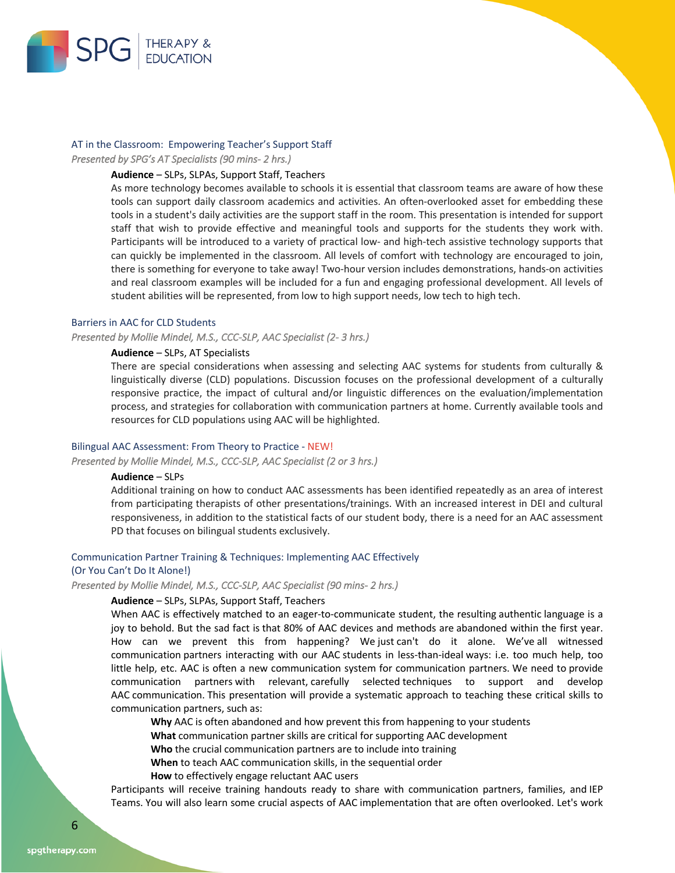

### AT in the Classroom: Empowering Teacher's Support Staff

*Presented by SPG's AT Specialists (90 mins- 2 hrs.)* 

### **Audience** – SLPs, SLPAs, Support Staff, Teachers

As more technology becomes available to schools it is essential that classroom teams are aware of how these tools can support daily classroom academics and activities. An often-overlooked asset for embedding these tools in a student's daily activities are the support staff in the room. This presentation is intended for support staff that wish to provide effective and meaningful tools and supports for the students they work with. Participants will be introduced to a variety of practical low- and high-tech assistive technology supports that can quickly be implemented in the classroom. All levels of comfort with technology are encouraged to join, there is something for everyone to take away! Two-hour version includes demonstrations, hands-on activities and real classroom examples will be included for a fun and engaging professional development. All levels of student abilities will be represented, from low to high support needs, low tech to high tech.

### Barriers in AAC for CLD Students

*Presented by Mollie Mindel, M.S., CCC-SLP, AAC Specialist (2- 3 hrs.)* 

### **Audience** – SLPs, AT Specialists

There are special considerations when assessing and selecting AAC systems for students from culturally & linguistically diverse (CLD) populations. Discussion focuses on the professional development of a culturally responsive practice, the impact of cultural and/or linguistic differences on the evaluation/implementation process, and strategies for collaboration with communication partners at home. Currently available tools and resources for CLD populations using AAC will be highlighted.

### Bilingual AAC Assessment: From Theory to Practice - NEW!

*Presented by Mollie Mindel, M.S., CCC-SLP, AAC Specialist (2 or 3 hrs.)* 

### **Audience** – SLPs

Additional training on how to conduct AAC assessments has been identified repeatedly as an area of interest from participating therapists of other presentations/trainings. With an increased interest in DEI and cultural responsiveness, in addition to the statistical facts of our student body, there is a need for an AAC assessment PD that focuses on bilingual students exclusively.

### Communication Partner Training & Techniques: Implementing AAC Effectively

### (Or You Can't Do It Alone!)

*Presented by Mollie Mindel, M.S., CCC-SLP, AAC Specialist (90 mins- 2 hrs.)* 

### **Audience** – SLPs, SLPAs, Support Staff, Teachers

When AAC is effectively matched to an eager-to-communicate student, the resulting authentic language is a joy to behold. But the sad fact is that 80% of AAC devices and methods are abandoned within the first year. How can we prevent this from happening? We just can't do it alone. We've all witnessed communication partners interacting with our AAC students in less-than-ideal ways: i.e. too much help, too little help, etc. AAC is often a new communication system for communication partners. We need to provide communication partners with relevant, carefully selected techniques to support and develop AAC communication. This presentation will provide a systematic approach to teaching these critical skills to communication partners, such as:

**Why** AAC is often abandoned and how prevent this from happening to your students

**What** communication partner skills are critical for supporting AAC development

**Who** the crucial communication partners are to include into training

**When** to teach AAC communication skills, in the sequential order

**How** to effectively engage reluctant AAC users

Participants will receive training handouts ready to share with communication partners, families, and IEP Teams. You will also learn some crucial aspects of AAC implementation that are often overlooked. Let's work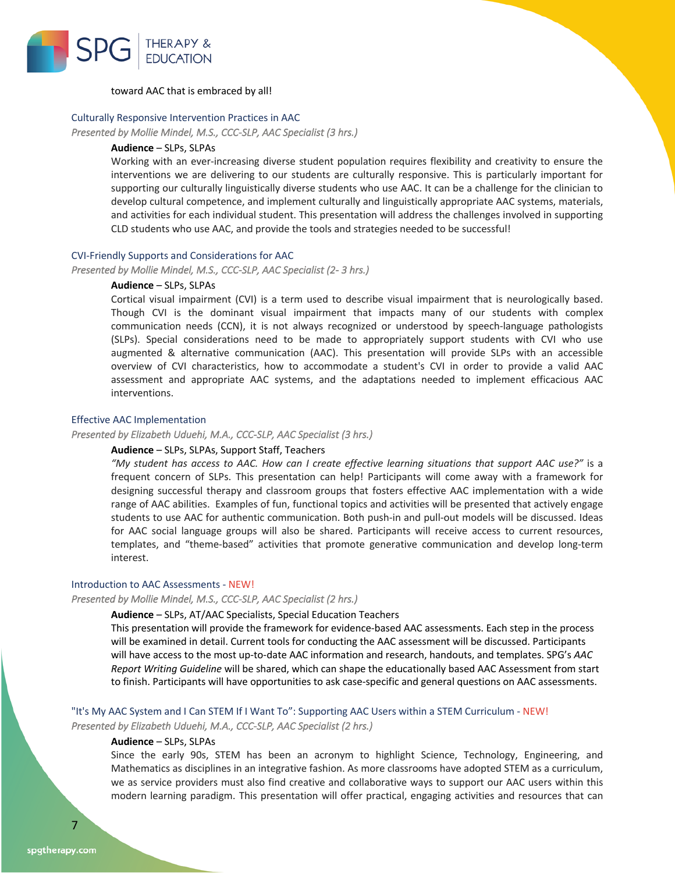

### toward AAC that is embraced by all!

### Culturally Responsive Intervention Practices in AAC

*Presented by Mollie Mindel, M.S., CCC-SLP, AAC Specialist (3 hrs.)* 

### **Audience** – SLPs, SLPAs

Working with an ever-increasing diverse student population requires flexibility and creativity to ensure the interventions we are delivering to our students are culturally responsive. This is particularly important for supporting our culturally linguistically diverse students who use AAC. It can be a challenge for the clinician to develop cultural competence, and implement culturally and linguistically appropriate AAC systems, materials, and activities for each individual student. This presentation will address the challenges involved in supporting CLD students who use AAC, and provide the tools and strategies needed to be successful!

### CVI-Friendly Supports and Considerations for AAC

*Presented by Mollie Mindel, M.S., CCC-SLP, AAC Specialist (2- 3 hrs.)* 

### **Audience** – SLPs, SLPAs

Cortical visual impairment (CVI) is a term used to describe visual impairment that is neurologically based. Though CVI is the dominant visual impairment that impacts many of our students with complex communication needs (CCN), it is not always recognized or understood by speech-language pathologists (SLPs). Special considerations need to be made to appropriately support students with CVI who use augmented & alternative communication (AAC). This presentation will provide SLPs with an accessible overview of CVI characteristics, how to accommodate a student's CVI in order to provide a valid AAC assessment and appropriate AAC systems, and the adaptations needed to implement efficacious AAC interventions.

### Effective AAC Implementation

*Presented by Elizabeth Uduehi, M.A., CCC-SLP, AAC Specialist (3 hrs.)* 

### **Audience** – SLPs, SLPAs, Support Staff, Teachers

*"My student has access to AAC. How can I create effective learning situations that support AAC use?"* is a frequent concern of SLPs. This presentation can help! Participants will come away with a framework for designing successful therapy and classroom groups that fosters effective AAC implementation with a wide range of AAC abilities. Examples of fun, functional topics and activities will be presented that actively engage students to use AAC for authentic communication. Both push-in and pull-out models will be discussed. Ideas for AAC social language groups will also be shared. Participants will receive access to current resources, templates, and "theme-based" activities that promote generative communication and develop long-term interest.

### Introduction to AAC Assessments - NEW!

### *Presented by Mollie Mindel, M.S., CCC-SLP, AAC Specialist (2 hrs.)*

### **Audience** – SLPs, AT/AAC Specialists, Special Education Teachers

This presentation will provide the framework for evidence-based AAC assessments. Each step in the process will be examined in detail. Current tools for conducting the AAC assessment will be discussed. Participants will have access to the most up-to-date AAC information and research, handouts, and templates. SPG's *AAC Report Writing Guideline* will be shared, which can shape the educationally based AAC Assessment from start to finish. Participants will have opportunities to ask case-specific and general questions on AAC assessments.

### "It's My AAC System and I Can STEM If I Want To": Supporting AAC Users within a STEM Curriculum - NEW!

*Presented by Elizabeth Uduehi, M.A., CCC-SLP, AAC Specialist (2 hrs.)* 

### **Audience** – SLPs, SLPAs

Since the early 90s, STEM has been an acronym to highlight Science, Technology, Engineering, and Mathematics as disciplines in an integrative fashion. As more classrooms have adopted STEM as a curriculum, we as service providers must also find creative and collaborative ways to support our AAC users within this modern learning paradigm. This presentation will offer practical, engaging activities and resources that can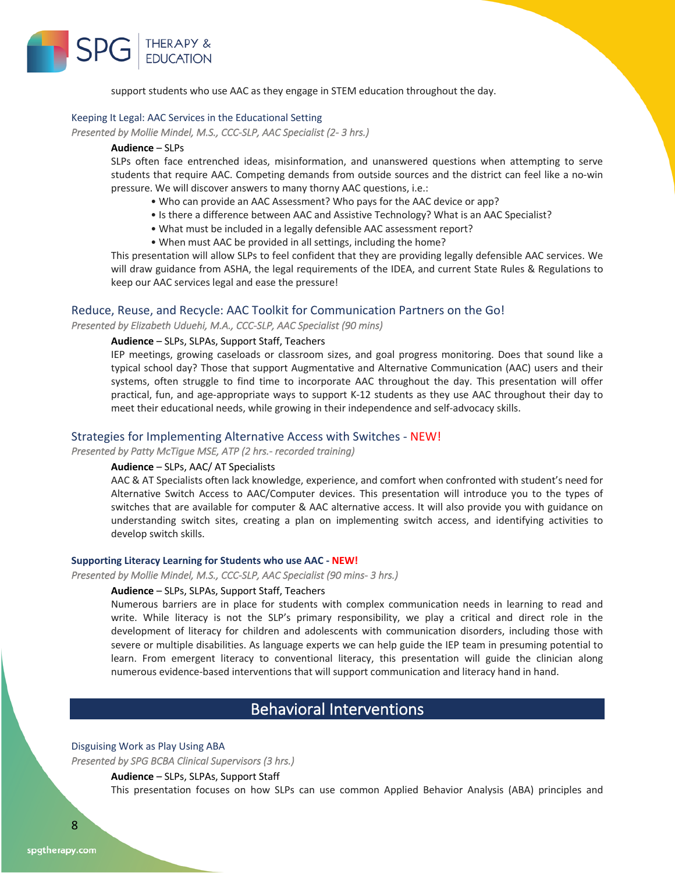

support students who use AAC as they engage in STEM education throughout the day.

### Keeping It Legal: AAC Services in the Educational Setting

*Presented by Mollie Mindel, M.S., CCC-SLP, AAC Specialist (2- 3 hrs.)* 

### **Audience** – SLPs

SLPs often face entrenched ideas, misinformation, and unanswered questions when attempting to serve students that require AAC. Competing demands from outside sources and the district can feel like a no-win pressure. We will discover answers to many thorny AAC questions, i.e.:

- Who can provide an AAC Assessment? Who pays for the AAC device or app?
- Is there a difference between AAC and Assistive Technology? What is an AAC Specialist?
- What must be included in a legally defensible AAC assessment report?
- When must AAC be provided in all settings, including the home?

This presentation will allow SLPs to feel confident that they are providing legally defensible AAC services. We will draw guidance from ASHA, the legal requirements of the IDEA, and current State Rules & Regulations to keep our AAC services legal and ease the pressure!

### Reduce, Reuse, and Recycle: AAC Toolkit for Communication Partners on the Go!

*Presented by Elizabeth Uduehi, M.A., CCC-SLP, AAC Specialist (90 mins)* 

### **Audience** – SLPs, SLPAs, Support Staff, Teachers

IEP meetings, growing caseloads or classroom sizes, and goal progress monitoring. Does that sound like a typical school day? Those that support Augmentative and Alternative Communication (AAC) users and their systems, often struggle to find time to incorporate AAC throughout the day. This presentation will offer practical, fun, and age-appropriate ways to support K-12 students as they use AAC throughout their day to meet their educational needs, while growing in their independence and self-advocacy skills.

### Strategies for Implementing Alternative Access with Switches - NEW!

*Presented by Patty McTigue MSE, ATP (2 hrs.- recorded training)* 

### **Audience** – SLPs, AAC/ AT Specialists

AAC & AT Specialists often lack knowledge, experience, and comfort when confronted with student's need for Alternative Switch Access to AAC/Computer devices. This presentation will introduce you to the types of switches that are available for computer & AAC alternative access. It will also provide you with guidance on understanding switch sites, creating a plan on implementing switch access, and identifying activities to develop switch skills.

### **Supporting Literacy Learning for Students who use AAC - NEW!**

*Presented by Mollie Mindel, M.S., CCC-SLP, AAC Specialist (90 mins- 3 hrs.)* 

### **Audience** – SLPs, SLPAs, Support Staff, Teachers

Numerous barriers are in place for students with complex communication needs in learning to read and write. While literacy is not the SLP's primary responsibility, we play a critical and direct role in the development of literacy for children and adolescents with communication disorders, including those with severe or multiple disabilities. As language experts we can help guide the IEP team in presuming potential to learn. From emergent literacy to conventional literacy, this presentation will guide the clinician along numerous evidence-based interventions that will support communication and literacy hand in hand.

### Behavioral Interventions

### Disguising Work as Play Using ABA

*Presented by SPG BCBA Clinical Supervisors (3 hrs.)* 

### **Audience** – SLPs, SLPAs, Support Staff

This presentation focuses on how SLPs can use common Applied Behavior Analysis (ABA) principles and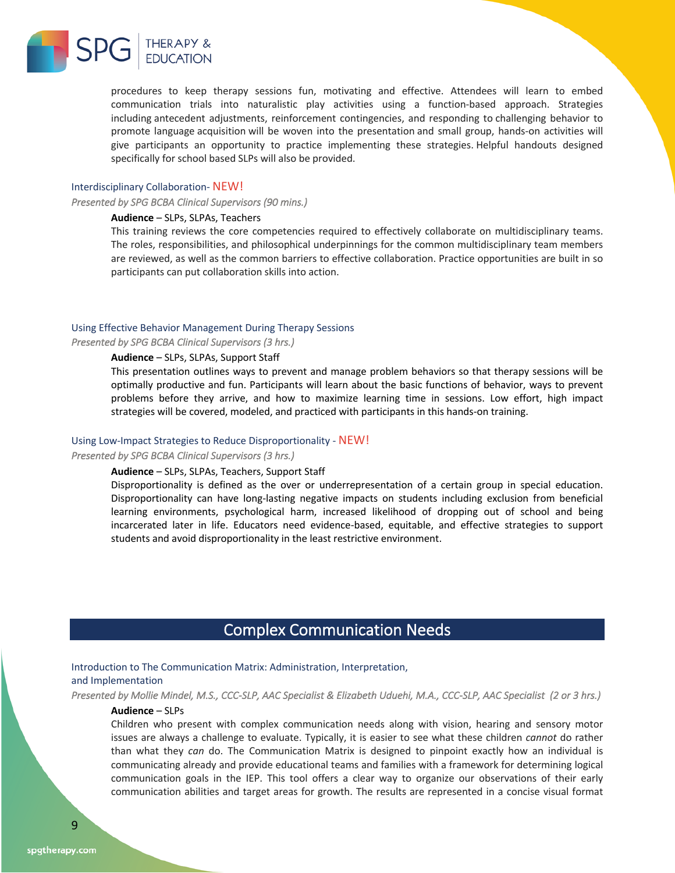

procedures to keep therapy sessions fun, motivating and effective. Attendees will learn to embed communication trials into naturalistic play activities using a function-based approach. Strategies including antecedent adjustments, reinforcement contingencies, and responding to challenging behavior to promote language acquisition will be woven into the presentation and small group, hands-on activities will give participants an opportunity to practice implementing these strategies. Helpful handouts designed specifically for school based SLPs will also be provided.

### Interdisciplinary Collaboration- NEW!

*Presented by SPG BCBA Clinical Supervisors (90 mins.)* 

### **Audience** – SLPs, SLPAs, Teachers

This training reviews the core competencies required to effectively collaborate on multidisciplinary teams. The roles, responsibilities, and philosophical underpinnings for the common multidisciplinary team members are reviewed, as well as the common barriers to effective collaboration. Practice opportunities are built in so participants can put collaboration skills into action.

### Using Effective Behavior Management During Therapy Sessions

*Presented by SPG BCBA Clinical Supervisors (3 hrs.)* 

### **Audience** – SLPs, SLPAs, Support Staff

This presentation outlines ways to prevent and manage problem behaviors so that therapy sessions will be optimally productive and fun. Participants will learn about the basic functions of behavior, ways to prevent problems before they arrive, and how to maximize learning time in sessions. Low effort, high impact strategies will be covered, modeled, and practiced with participants in this hands-on training.

#### Using Low-Impact Strategies to Reduce Disproportionality - NEW!

### *Presented by SPG BCBA Clinical Supervisors (3 hrs.)*

### **Audience** – SLPs, SLPAs, Teachers, Support Staff

Disproportionality is defined as the over or underrepresentation of a certain group in special education. Disproportionality can have long-lasting negative impacts on students including exclusion from beneficial learning environments, psychological harm, increased likelihood of dropping out of school and being incarcerated later in life. Educators need evidence-based, equitable, and effective strategies to support students and avoid disproportionality in the least restrictive environment.

### Complex Communication Needs

### Introduction to The Communication Matrix: Administration, Interpretation, and Implementation

*Presented by Mollie Mindel, M.S., CCC-SLP, AAC Specialist & Elizabeth Uduehi, M.A., CCC-SLP, AAC Specialist (2 or 3 hrs.)* 

### **Audience** – SLPs

Children who present with complex communication needs along with vision, hearing and sensory motor issues are always a challenge to evaluate. Typically, it is easier to see what these children *cannot* do rather than what they *can* do. The Communication Matrix is designed to pinpoint exactly how an individual is communicating already and provide educational teams and families with a framework for determining logical communication goals in the IEP. This tool offers a clear way to organize our observations of their early communication abilities and target areas for growth. The results are represented in a concise visual format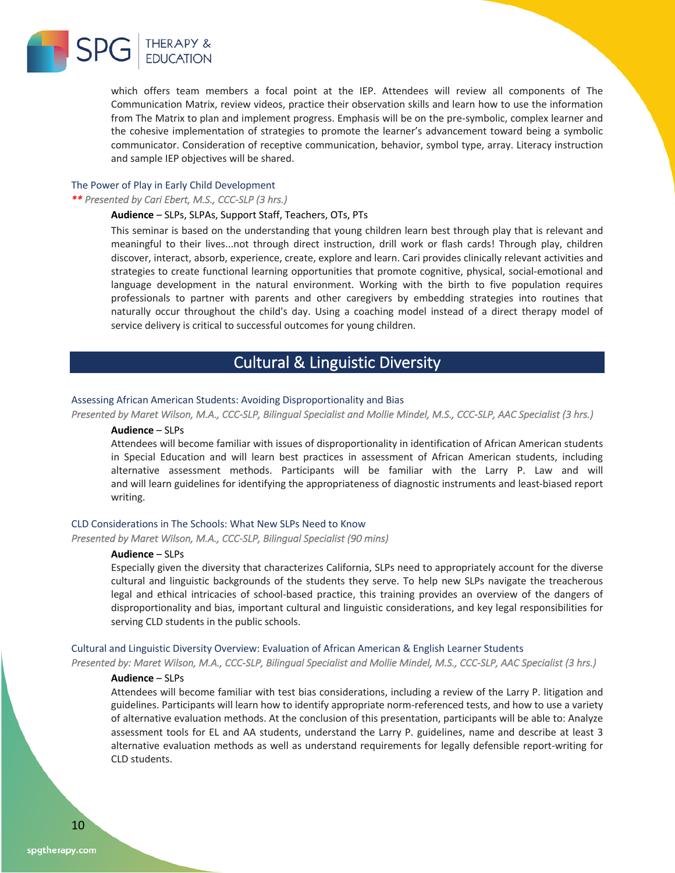

which offers team members a focal point at the IEP. Attendees will review all components of The Communication Matrix, review videos, practice their observation skills and learn how to use the information from The Matrix to plan and implement progress. Emphasis will be on the pre-symbolic, complex learner and the cohesive implementation of strategies to promote the learner's advancement toward being a symbolic communicator. Consideration of receptive communication, behavior, symbol type, array. Literacy instruction and sample IEP objectives will be shared.

### The Power of Play in Early Child Development

*\*\* Presented by Cari Ebert, M.S., CCC-SLP (3 hrs.)* 

### **Audience** – SLPs, SLPAs, Support Staff, Teachers, OTs, PTs

This seminar is based on the understanding that young children learn best through play that is relevant and meaningful to their lives...not through direct instruction, drill work or flash cards! Through play, children discover, interact, absorb, experience, create, explore and learn. Cari provides clinically relevant activities and strategies to create functional learning opportunities that promote cognitive, physical, social-emotional and language development in the natural environment. Working with the birth to five population requires professionals to partner with parents and other caregivers by embedding strategies into routines that naturally occur throughout the child's day. Using a coaching model instead of a direct therapy model of service delivery is critical to successful outcomes for young children.

### Cultural & Linguistic Diversity

### Assessing African American Students: Avoiding Disproportionality and Bias

*Presented by Maret Wilson, M.A., CCC-SLP, Bilingual Specialist and Mollie Mindel, M.S., CCC-SLP, AAC Specialist (3 hrs.)* 

### **Audience** – SLPs

Attendees will become familiar with issues of disproportionality in identification of African American students in Special Education and will learn best practices in assessment of African American students, including alternative assessment methods. Participants will be familiar with the Larry P. Law and will and will learn guidelines for identifying the appropriateness of diagnostic instruments and least-biased report writing.

### CLD Considerations in The Schools: What New SLPs Need to Know

*Presented by Maret Wilson, M.A., CCC-SLP, Bilingual Specialist (90 mins)* 

#### **Audience** – SLPs

Especially given the diversity that characterizes California, SLPs need to appropriately account for the diverse cultural and linguistic backgrounds of the students they serve. To help new SLPs navigate the treacherous legal and ethical intricacies of school-based practice, this training provides an overview of the dangers of disproportionality and bias, important cultural and linguistic considerations, and key legal responsibilities for serving CLD students in the public schools.

### Cultural and Linguistic Diversity Overview: Evaluation of African American & English Learner Students

*Presented by: Maret Wilson, M.A., CCC-SLP, Bilingual Specialist and Mollie Mindel, M.S., CCC-SLP, AAC Specialist (3 hrs.)* 

### **Audience** – SLPs

Attendees will become familiar with test bias considerations, including a review of the Larry P. litigation and guidelines. Participants will learn how to identify appropriate norm-referenced tests, and how to use a variety of alternative evaluation methods. At the conclusion of this presentation, participants will be able to: Analyze assessment tools for EL and AA students, understand the Larry P. guidelines, name and describe at least 3 alternative evaluation methods as well as understand requirements for legally defensible report-writing for CLD students.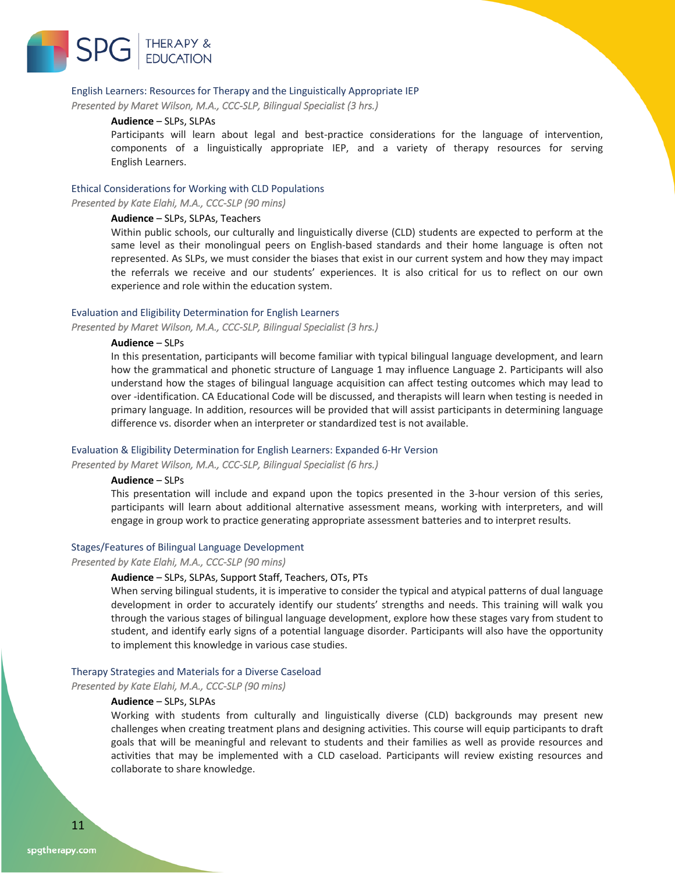

### English Learners: Resources for Therapy and the Linguistically Appropriate IEP

*Presented by Maret Wilson, M.A., CCC-SLP, Bilingual Specialist (3 hrs.)* 

### **Audience** – SLPs, SLPAs

Participants will learn about legal and best-practice considerations for the language of intervention, components of a linguistically appropriate IEP, and a variety of therapy resources for serving English Learners.

### Ethical Considerations for Working with CLD Populations

*Presented by Kate Elahi, M.A., CCC-SLP (90 mins)* 

### **Audience** – SLPs, SLPAs, Teachers

Within public schools, our culturally and linguistically diverse (CLD) students are expected to perform at the same level as their monolingual peers on English-based standards and their home language is often not represented. As SLPs, we must consider the biases that exist in our current system and how they may impact the referrals we receive and our students' experiences. It is also critical for us to reflect on our own experience and role within the education system.

### Evaluation and Eligibility Determination for English Learners

*Presented by Maret Wilson, M.A., CCC-SLP, Bilingual Specialist (3 hrs.)* 

### **Audience** – SLPs

In this presentation, participants will become familiar with typical bilingual language development, and learn how the grammatical and phonetic structure of Language 1 may influence Language 2. Participants will also understand how the stages of bilingual language acquisition can affect testing outcomes which may lead to over -identification. CA Educational Code will be discussed, and therapists will learn when testing is needed in primary language. In addition, resources will be provided that will assist participants in determining language difference vs. disorder when an interpreter or standardized test is not available.

### Evaluation & Eligibility Determination for English Learners: Expanded 6-Hr Version

*Presented by Maret Wilson, M.A., CCC-SLP, Bilingual Specialist (6 hrs.)* 

### **Audience** – SLPs

This presentation will include and expand upon the topics presented in the 3-hour version of this series, participants will learn about additional alternative assessment means, working with interpreters, and will engage in group work to practice generating appropriate assessment batteries and to interpret results.

### Stages/Features of Bilingual Language Development

*Presented by Kate Elahi, M.A., CCC-SLP (90 mins)* 

### **Audience** – SLPs, SLPAs, Support Staff, Teachers, OTs, PTs

When serving bilingual students, it is imperative to consider the typical and atypical patterns of dual language development in order to accurately identify our students' strengths and needs. This training will walk you through the various stages of bilingual language development, explore how these stages vary from student to student, and identify early signs of a potential language disorder. Participants will also have the opportunity to implement this knowledge in various case studies.

#### Therapy Strategies and Materials for a Diverse Caseload

*Presented by Kate Elahi, M.A., CCC-SLP (90 mins)* 

#### **Audience** – SLPs, SLPAs

Working with students from culturally and linguistically diverse (CLD) backgrounds may present new challenges when creating treatment plans and designing activities. This course will equip participants to draft goals that will be meaningful and relevant to students and their families as well as provide resources and activities that may be implemented with a CLD caseload. Participants will review existing resources and collaborate to share knowledge.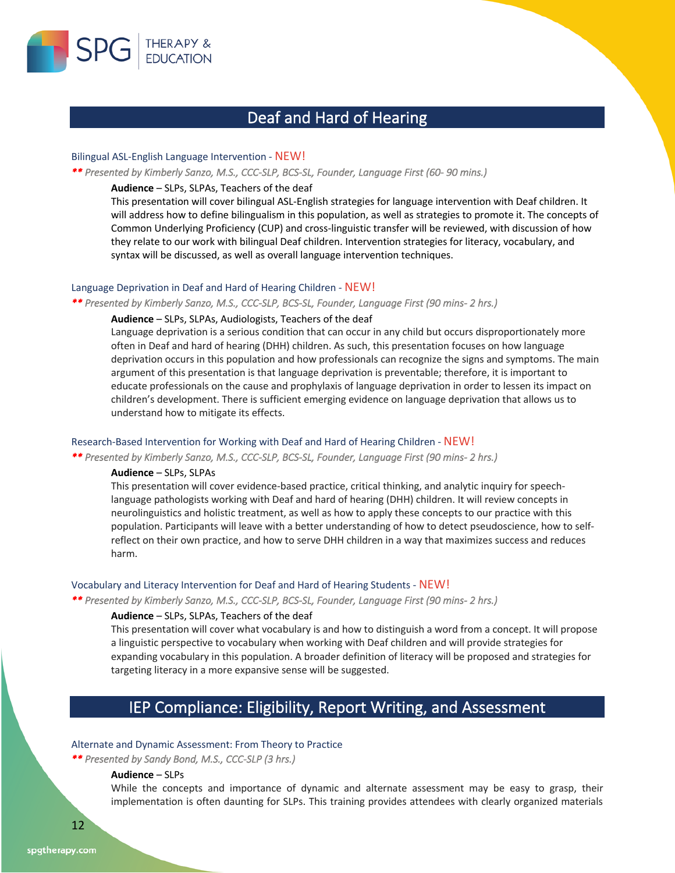

### Deaf and Hard of Hearing

### Bilingual ASL-English Language Intervention - NEW!

### *\*\* Presented by Kimberly Sanzo, M.S., CCC-SLP, BCS-SL, Founder, Language First (60- 90 mins.)*

### **Audience** – SLPs, SLPAs, Teachers of the deaf

This presentation will cover bilingual ASL-English strategies for language intervention with Deaf children. It will address how to define bilingualism in this population, as well as strategies to promote it. The concepts of Common Underlying Proficiency (CUP) and cross-linguistic transfer will be reviewed, with discussion of how they relate to our work with bilingual Deaf children. Intervention strategies for literacy, vocabulary, and syntax will be discussed, as well as overall language intervention techniques.

### Language Deprivation in Deaf and Hard of Hearing Children - NEW!

*\*\* Presented by Kimberly Sanzo, M.S., CCC-SLP, BCS-SL, Founder, Language First (90 mins- 2 hrs.)* 

### **Audience** – SLPs, SLPAs, Audiologists, Teachers of the deaf

Language deprivation is a serious condition that can occur in any child but occurs disproportionately more often in Deaf and hard of hearing (DHH) children. As such, this presentation focuses on how language deprivation occurs in this population and how professionals can recognize the signs and symptoms. The main argument of this presentation is that language deprivation is preventable; therefore, it is important to educate professionals on the cause and prophylaxis of language deprivation in order to lessen its impact on children's development. There is sufficient emerging evidence on language deprivation that allows us to understand how to mitigate its effects.

### Research-Based Intervention for Working with Deaf and Hard of Hearing Children - NEW!

*\*\* Presented by Kimberly Sanzo, M.S., CCC-SLP, BCS-SL, Founder, Language First (90 mins- 2 hrs.)* 

### **Audience** – SLPs, SLPAs

This presentation will cover evidence-based practice, critical thinking, and analytic inquiry for speechlanguage pathologists working with Deaf and hard of hearing (DHH) children. It will review concepts in neurolinguistics and holistic treatment, as well as how to apply these concepts to our practice with this population. Participants will leave with a better understanding of how to detect pseudoscience, how to selfreflect on their own practice, and how to serve DHH children in a way that maximizes success and reduces harm.

### Vocabulary and Literacy Intervention for Deaf and Hard of Hearing Students - NEW!

*\*\* Presented by Kimberly Sanzo, M.S., CCC-SLP, BCS-SL, Founder, Language First (90 mins- 2 hrs.)* 

### **Audience** – SLPs, SLPAs, Teachers of the deaf

This presentation will cover what vocabulary is and how to distinguish a word from a concept. It will propose a linguistic perspective to vocabulary when working with Deaf children and will provide strategies for expanding vocabulary in this population. A broader definition of literacy will be proposed and strategies for targeting literacy in a more expansive sense will be suggested.

### IEP Compliance: Eligibility, Report Writing, and Assessment

### Alternate and Dynamic Assessment: From Theory to Practice

*\*\* Presented by Sandy Bond, M.S., CCC-SLP (3 hrs.)* 

### **Audience** – SLPs

While the concepts and importance of dynamic and alternate assessment may be easy to grasp, their implementation is often daunting for SLPs. This training provides attendees with clearly organized materials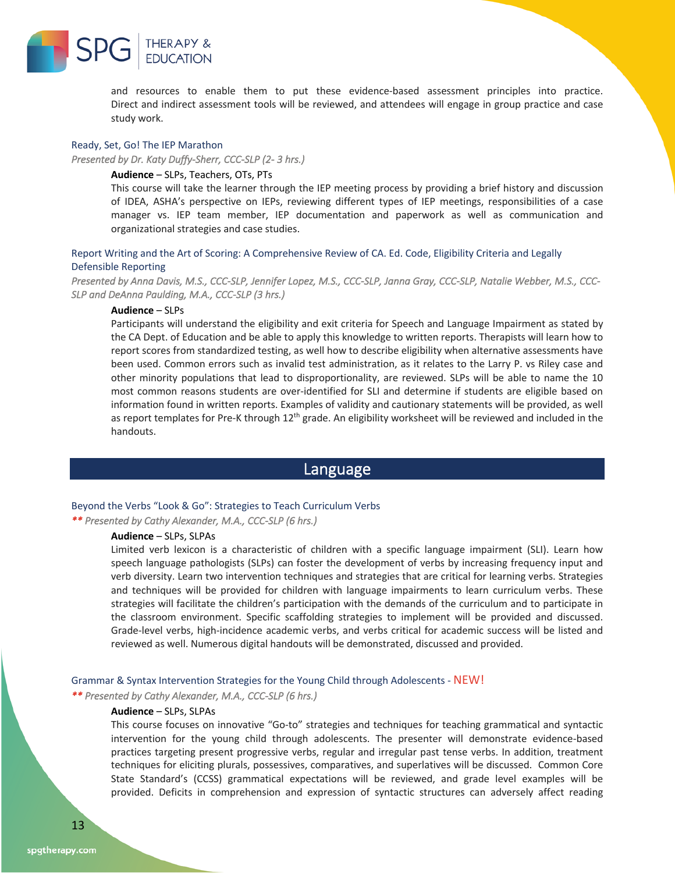

and resources to enable them to put these evidence-based assessment principles into practice. Direct and indirect assessment tools will be reviewed, and attendees will engage in group practice and case study work.

### Ready, Set, Go! The IEP Marathon

*Presented by Dr. Katy Duffy-Sherr, CCC-SLP (2- 3 hrs.)* 

### **Audience** – SLPs, Teachers, OTs, PTs

This course will take the learner through the IEP meeting process by providing a brief history and discussion of IDEA, ASHA's perspective on IEPs, reviewing different types of IEP meetings, responsibilities of a case manager vs. IEP team member, IEP documentation and paperwork as well as communication and organizational strategies and case studies.

### Report Writing and the Art of Scoring: A Comprehensive Review of CA. Ed. Code, Eligibility Criteria and Legally Defensible Reporting

*Presented by Anna Davis, M.S., CCC-SLP, Jennifer Lopez, M.S., CCC-SLP, Janna Gray, CCC-SLP, Natalie Webber, M.S., CCC-SLP and DeAnna Paulding, M.A., CCC-SLP (3 hrs.)* 

### **Audience** – SLPs

Participants will understand the eligibility and exit criteria for Speech and Language Impairment as stated by the CA Dept. of Education and be able to apply this knowledge to written reports. Therapists will learn how to report scores from standardized testing, as well how to describe eligibility when alternative assessments have been used. Common errors such as invalid test administration, as it relates to the Larry P. vs Riley case and other minority populations that lead to disproportionality, are reviewed. SLPs will be able to name the 10 most common reasons students are over-identified for SLI and determine if students are eligible based on information found in written reports. Examples of validity and cautionary statements will be provided, as well as report templates for Pre-K through 12<sup>th</sup> grade. An eligibility worksheet will be reviewed and included in the handouts.

### Language

### Beyond the Verbs "Look & Go": Strategies to Teach Curriculum Verbs

*\*\* Presented by Cathy Alexander, M.A., CCC-SLP (6 hrs.)* 

### **Audience** – SLPs, SLPAs

Limited verb lexicon is a characteristic of children with a specific language impairment (SLI). Learn how speech language pathologists (SLPs) can foster the development of verbs by increasing frequency input and verb diversity. Learn two intervention techniques and strategies that are critical for learning verbs. Strategies and techniques will be provided for children with language impairments to learn curriculum verbs. These strategies will facilitate the children's participation with the demands of the curriculum and to participate in the classroom environment. Specific scaffolding strategies to implement will be provided and discussed. Grade-level verbs, high-incidence academic verbs, and verbs critical for academic success will be listed and reviewed as well. Numerous digital handouts will be demonstrated, discussed and provided.

### Grammar & Syntax Intervention Strategies for the Young Child through Adolescents - NEW!

*\*\* Presented by Cathy Alexander, M.A., CCC-SLP (6 hrs.)* 

### **Audience** – SLPs, SLPAs

This course focuses on innovative "Go-to" strategies and techniques for teaching grammatical and syntactic intervention for the young child through adolescents. The presenter will demonstrate evidence-based practices targeting present progressive verbs, regular and irregular past tense verbs. In addition, treatment techniques for eliciting plurals, possessives, comparatives, and superlatives will be discussed. Common Core State Standard's (CCSS) grammatical expectations will be reviewed, and grade level examples will be provided. Deficits in comprehension and expression of syntactic structures can adversely affect reading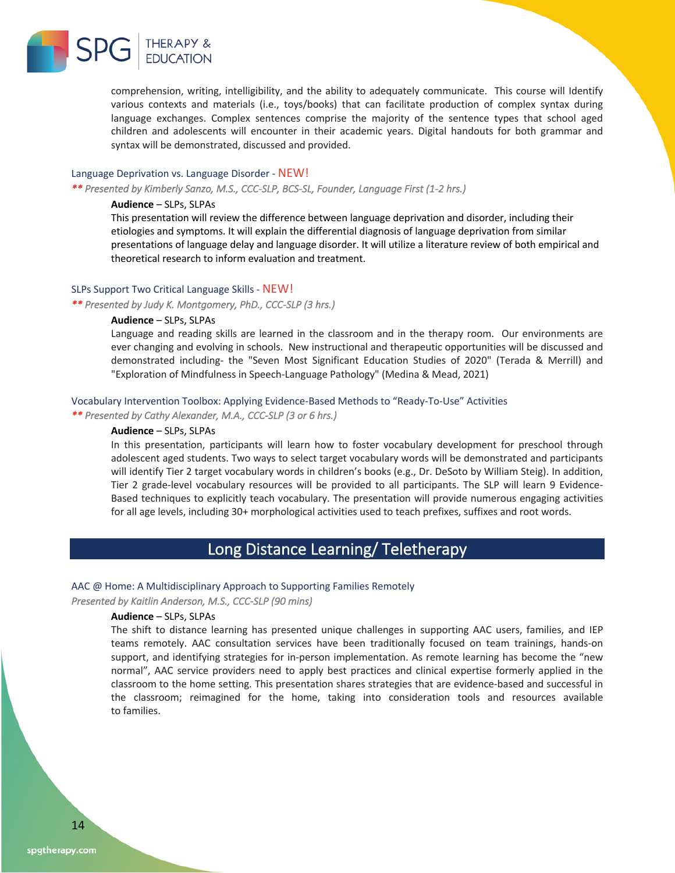

comprehension, writing, intelligibility, and the ability to adequately communicate. This course will Identify various contexts and materials (i.e., toys/books) that can facilitate production of complex syntax during language exchanges. Complex sentences comprise the majority of the sentence types that school aged children and adolescents will encounter in their academic years. Digital handouts for both grammar and syntax will be demonstrated, discussed and provided.

### Language Deprivation vs. Language Disorder - NEW!

*\*\* Presented by Kimberly Sanzo, M.S., CCC-SLP, BCS-SL, Founder, Language First (1-2 hrs.)* 

### **Audience** – SLPs, SLPAs

This presentation will review the difference between language deprivation and disorder, including their etiologies and symptoms. It will explain the differential diagnosis of language deprivation from similar presentations of language delay and language disorder. It will utilize a literature review of both empirical and theoretical research to inform evaluation and treatment.

### SLPs Support Two Critical Language Skills - NEW!

*\*\* Presented by Judy K. Montgomery, PhD., CCC-SLP (3 hrs.)* 

### **Audience** – SLPs, SLPAs

Language and reading skills are learned in the classroom and in the therapy room. Our environments are ever changing and evolving in schools. New instructional and therapeutic opportunities will be discussed and demonstrated including- the "Seven Most Significant Education Studies of 2020" (Terada & Merrill) and "Exploration of Mindfulness in Speech-Language Pathology" (Medina & Mead, 2021)

### Vocabulary Intervention Toolbox: Applying Evidence-Based Methods to "Ready-To-Use" Activities

*\*\* Presented by Cathy Alexander, M.A., CCC-SLP (3 or 6 hrs.)* 

### **Audience** – SLPs, SLPAs

In this presentation, participants will learn how to foster vocabulary development for preschool through adolescent aged students. Two ways to select target vocabulary words will be demonstrated and participants will identify Tier 2 target vocabulary words in children's books (e.g., Dr. DeSoto by William Steig). In addition, Tier 2 grade-level vocabulary resources will be provided to all participants. The SLP will learn 9 Evidence-Based techniques to explicitly teach vocabulary. The presentation will provide numerous engaging activities for all age levels, including 30+ morphological activities used to teach prefixes, suffixes and root words.

### Long Distance Learning/ Teletherapy

### AAC @ Home: A Multidisciplinary Approach to Supporting Families Remotely

*Presented by Kaitlin Anderson, M.S., CCC-SLP (90 mins)* 

### **Audience** – SLPs, SLPAs

The shift to distance learning has presented unique challenges in supporting AAC users, families, and IEP teams remotely. AAC consultation services have been traditionally focused on team trainings, hands-on support, and identifying strategies for in-person implementation. As remote learning has become the "new normal", AAC service providers need to apply best practices and clinical expertise formerly applied in the classroom to the home setting. This presentation shares strategies that are evidence-based and successful in the classroom; reimagined for the home, taking into consideration tools and resources available to families.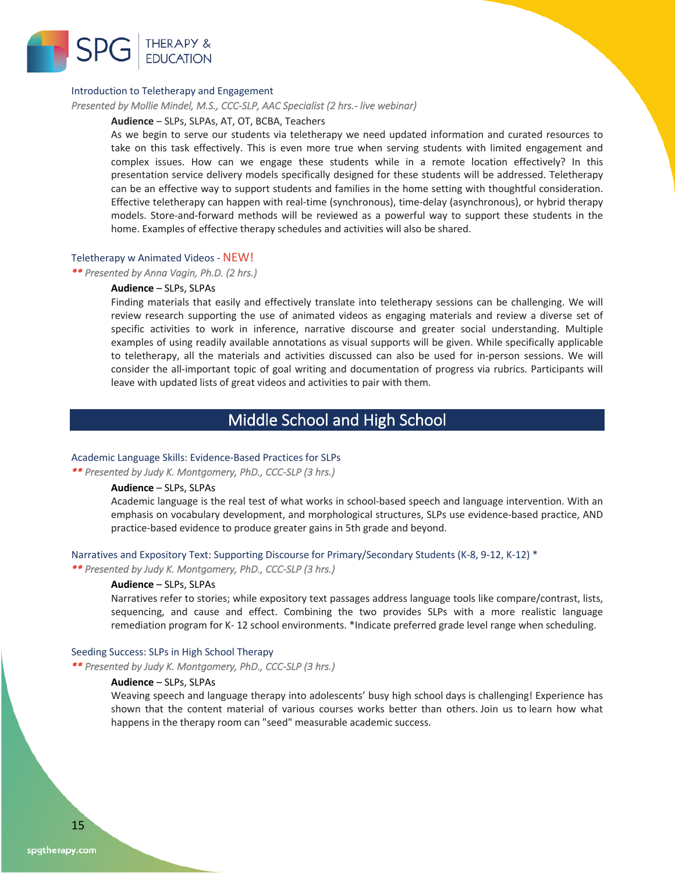

### Introduction to Teletherapy and Engagement

*Presented by Mollie Mindel, M.S., CCC-SLP, AAC Specialist (2 hrs.- live webinar)* 

### **Audience** – SLPs, SLPAs, AT, OT, BCBA, Teachers

As we begin to serve our students via teletherapy we need updated information and curated resources to take on this task effectively. This is even more true when serving students with limited engagement and complex issues. How can we engage these students while in a remote location effectively? In this presentation service delivery models specifically designed for these students will be addressed. Teletherapy can be an effective way to support students and families in the home setting with thoughtful consideration. Effective teletherapy can happen with real-time (synchronous), time-delay (asynchronous), or hybrid therapy models. Store-and-forward methods will be reviewed as a powerful way to support these students in the home. Examples of effective therapy schedules and activities will also be shared.

### Teletherapy w Animated Videos - NEW!

### *\*\* Presented by Anna Vagin, Ph.D. (2 hrs.)*

### **Audience** – SLPs, SLPAs

Finding materials that easily and effectively translate into teletherapy sessions can be challenging. We will review research supporting the use of animated videos as engaging materials and review a diverse set of specific activities to work in inference, narrative discourse and greater social understanding. Multiple examples of using readily available annotations as visual supports will be given. While specifically applicable to teletherapy, all the materials and activities discussed can also be used for in-person sessions. We will consider the all-important topic of goal writing and documentation of progress via rubrics. Participants will leave with updated lists of great videos and activities to pair with them.

### Middle School and High School

### Academic Language Skills: Evidence-Based Practices for SLPs

*\*\* Presented by Judy K. Montgomery, PhD., CCC-SLP (3 hrs.)* 

### **Audience** – SLPs, SLPAs

Academic language is the real test of what works in school-based speech and language intervention. With an emphasis on vocabulary development, and morphological structures, SLPs use evidence-based practice, AND practice-based evidence to produce greater gains in 5th grade and beyond.

### Narratives and Expository Text: Supporting Discourse for Primary/Secondary Students (K-8, 9-12, K-12) \*

*\*\* Presented by Judy K. Montgomery, PhD., CCC-SLP (3 hrs.)* 

### **Audience** – SLPs, SLPAs

Narratives refer to stories; while expository text passages address language tools like compare/contrast, lists, sequencing, and cause and effect. Combining the two provides SLPs with a more realistic language remediation program for K- 12 school environments. \*Indicate preferred grade level range when scheduling.

### Seeding Success: SLPs in High School Therapy

*\*\* Presented by Judy K. Montgomery, PhD., CCC-SLP (3 hrs.)* 

### **Audience** – SLPs, SLPAs

Weaving speech and language therapy into adolescents' busy high school days is challenging! Experience has shown that the content material of various courses works better than others. Join us to learn how what happens in the therapy room can "seed" measurable academic success.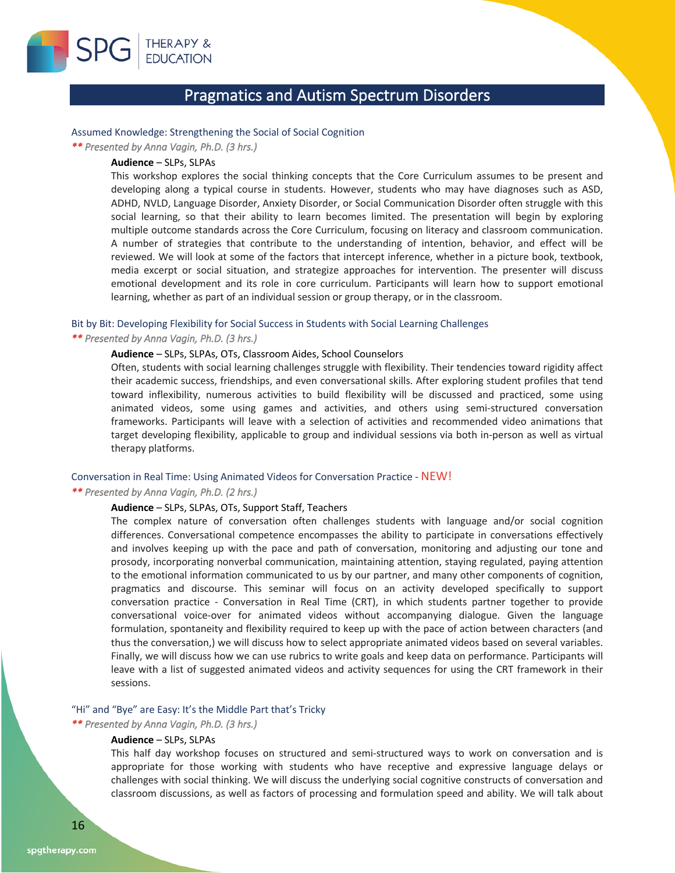

### Pragmatics and Autism Spectrum Disorders

### Assumed Knowledge: Strengthening the Social of Social Cognition

*\*\* Presented by Anna Vagin, Ph.D. (3 hrs.)* 

### **Audience** – SLPs, SLPAs

This workshop explores the social thinking concepts that the Core Curriculum assumes to be present and developing along a typical course in students. However, students who may have diagnoses such as ASD, ADHD, NVLD, Language Disorder, Anxiety Disorder, or Social Communication Disorder often struggle with this social learning, so that their ability to learn becomes limited. The presentation will begin by exploring multiple outcome standards across the Core Curriculum, focusing on literacy and classroom communication. A number of strategies that contribute to the understanding of intention, behavior, and effect will be reviewed. We will look at some of the factors that intercept inference, whether in a picture book, textbook, media excerpt or social situation, and strategize approaches for intervention. The presenter will discuss emotional development and its role in core curriculum. Participants will learn how to support emotional learning, whether as part of an individual session or group therapy, or in the classroom.

### Bit by Bit: Developing Flexibility for Social Success in Students with Social Learning Challenges

### *\*\* Presented by Anna Vagin, Ph.D. (3 hrs.)*

### **Audience** – SLPs, SLPAs, OTs, Classroom Aides, School Counselors

Often, students with social learning challenges struggle with flexibility. Their tendencies toward rigidity affect their academic success, friendships, and even conversational skills. After exploring student profiles that tend toward inflexibility, numerous activities to build flexibility will be discussed and practiced, some using animated videos, some using games and activities, and others using semi-structured conversation frameworks. Participants will leave with a selection of activities and recommended video animations that target developing flexibility, applicable to group and individual sessions via both in-person as well as virtual therapy platforms.

### Conversation in Real Time: Using Animated Videos for Conversation Practice - NEW!

### *\*\* Presented by Anna Vagin, Ph.D. (2 hrs.)*

### **Audience** – SLPs, SLPAs, OTs, Support Staff, Teachers

The complex nature of conversation often challenges students with language and/or social cognition differences. Conversational competence encompasses the ability to participate in conversations effectively and involves keeping up with the pace and path of conversation, monitoring and adjusting our tone and prosody, incorporating nonverbal communication, maintaining attention, staying regulated, paying attention to the emotional information communicated to us by our partner, and many other components of cognition, pragmatics and discourse. This seminar will focus on an activity developed specifically to support conversation practice - Conversation in Real Time (CRT), in which students partner together to provide conversational voice-over for animated videos without accompanying dialogue. Given the language formulation, spontaneity and flexibility required to keep up with the pace of action between characters (and thus the conversation,) we will discuss how to select appropriate animated videos based on several variables. Finally, we will discuss how we can use rubrics to write goals and keep data on performance. Participants will leave with a list of suggested animated videos and activity sequences for using the CRT framework in their sessions.

### "Hi" and "Bye" are Easy: It's the Middle Part that's Tricky

### *\*\* Presented by Anna Vagin, Ph.D. (3 hrs.)*

### **Audience** – SLPs, SLPAs

This half day workshop focuses on structured and semi-structured ways to work on conversation and is appropriate for those working with students who have receptive and expressive language delays or challenges with social thinking. We will discuss the underlying social cognitive constructs of conversation and classroom discussions, as well as factors of processing and formulation speed and ability. We will talk about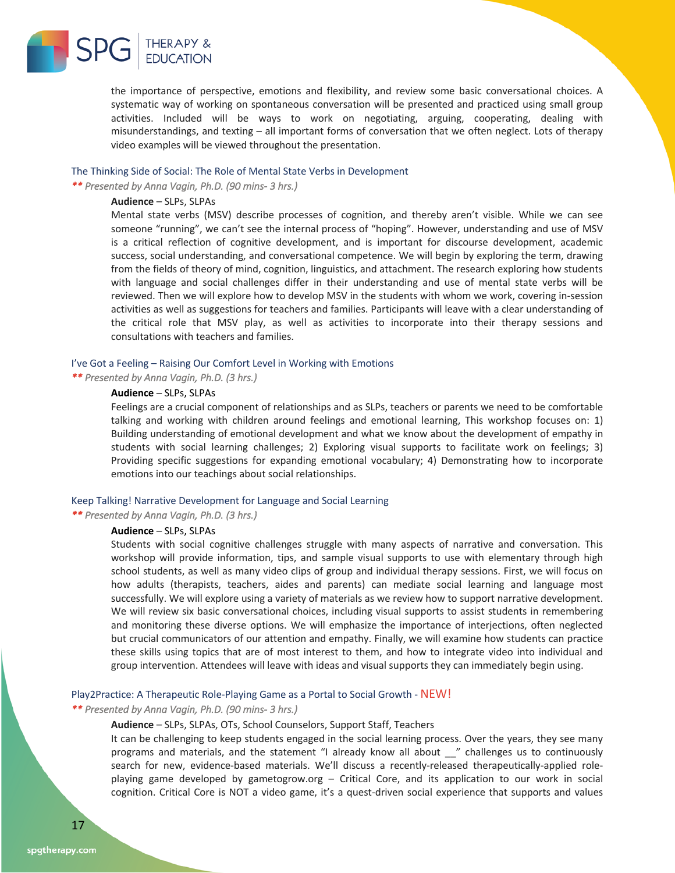

the importance of perspective, emotions and flexibility, and review some basic conversational choices. A systematic way of working on spontaneous conversation will be presented and practiced using small group activities. Included will be ways to work on negotiating, arguing, cooperating, dealing with misunderstandings, and texting – all important forms of conversation that we often neglect. Lots of therapy video examples will be viewed throughout the presentation.

### The Thinking Side of Social: The Role of Mental State Verbs in Development

*\*\* Presented by Anna Vagin, Ph.D. (90 mins- 3 hrs.)* 

### **Audience** – SLPs, SLPAs

Mental state verbs (MSV) describe processes of cognition, and thereby aren't visible. While we can see someone "running", we can't see the internal process of "hoping". However, understanding and use of MSV is a critical reflection of cognitive development, and is important for discourse development, academic success, social understanding, and conversational competence. We will begin by exploring the term, drawing from the fields of theory of mind, cognition, linguistics, and attachment. The research exploring how students with language and social challenges differ in their understanding and use of mental state verbs will be reviewed. Then we will explore how to develop MSV in the students with whom we work, covering in-session activities as well as suggestions for teachers and families. Participants will leave with a clear understanding of the critical role that MSV play, as well as activities to incorporate into their therapy sessions and consultations with teachers and families.

### I've Got a Feeling – Raising Our Comfort Level in Working with Emotions

*\*\* Presented by Anna Vagin, Ph.D. (3 hrs.)* 

### **Audience** – SLPs, SLPAs

Feelings are a crucial component of relationships and as SLPs, teachers or parents we need to be comfortable talking and working with children around feelings and emotional learning, This workshop focuses on: 1) Building understanding of emotional development and what we know about the development of empathy in students with social learning challenges; 2) Exploring visual supports to facilitate work on feelings; 3) Providing specific suggestions for expanding emotional vocabulary; 4) Demonstrating how to incorporate emotions into our teachings about social relationships.

### Keep Talking! Narrative Development for Language and Social Learning

*\*\* Presented by Anna Vagin, Ph.D. (3 hrs.)* 

### **Audience** – SLPs, SLPAs

Students with social cognitive challenges struggle with many aspects of narrative and conversation. This workshop will provide information, tips, and sample visual supports to use with elementary through high school students, as well as many video clips of group and individual therapy sessions. First, we will focus on how adults (therapists, teachers, aides and parents) can mediate social learning and language most successfully. We will explore using a variety of materials as we review how to support narrative development. We will review six basic conversational choices, including visual supports to assist students in remembering and monitoring these diverse options. We will emphasize the importance of interjections, often neglected but crucial communicators of our attention and empathy. Finally, we will examine how students can practice these skills using topics that are of most interest to them, and how to integrate video into individual and group intervention. Attendees will leave with ideas and visual supports they can immediately begin using.

### Play2Practice: A Therapeutic Role-Playing Game as a Portal to Social Growth - NEW!

### *\*\* Presented by Anna Vagin, Ph.D. (90 mins- 3 hrs.)*

### **Audience** – SLPs, SLPAs, OTs, School Counselors, Support Staff, Teachers

It can be challenging to keep students engaged in the social learning process. Over the years, they see many programs and materials, and the statement "I already know all about \_\_" challenges us to continuously search for new, evidence-based materials. We'll discuss a recently-released therapeutically-applied roleplaying game developed by gametogrow.org – Critical Core, and its application to our work in social cognition. Critical Core is NOT a video game, it's a quest-driven social experience that supports and values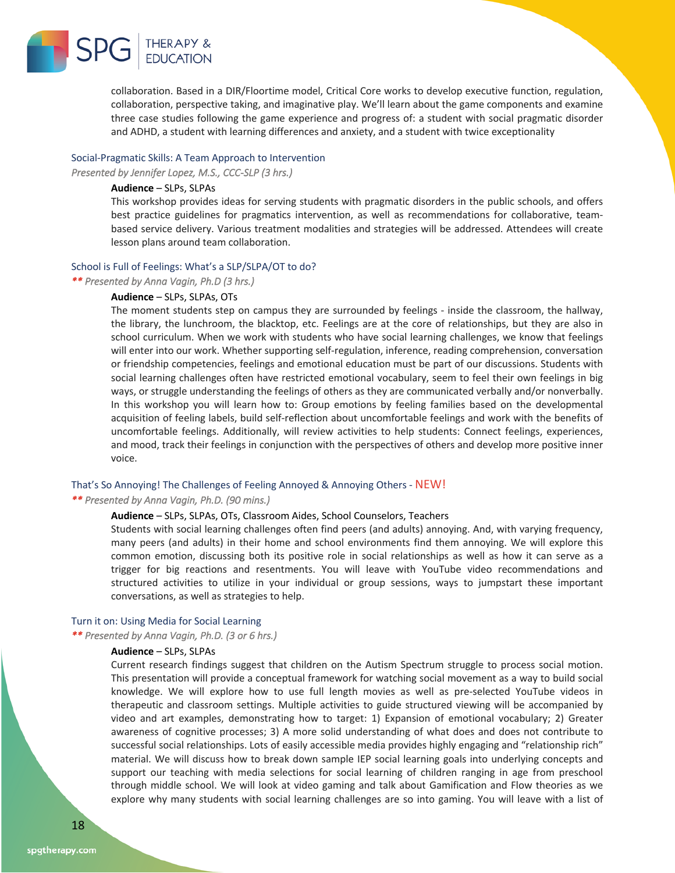

collaboration. Based in a DIR/Floortime model, Critical Core works to develop executive function, regulation, collaboration, perspective taking, and imaginative play. We'll learn about the game components and examine three case studies following the game experience and progress of: a student with social pragmatic disorder and ADHD, a student with learning differences and anxiety, and a student with twice exceptionality

### Social-Pragmatic Skills: A Team Approach to Intervention

*Presented by Jennifer Lopez, M.S., CCC-SLP (3 hrs.)* 

### **Audience** – SLPs, SLPAs

This workshop provides ideas for serving students with pragmatic disorders in the public schools, and offers best practice guidelines for pragmatics intervention, as well as recommendations for collaborative, teambased service delivery. Various treatment modalities and strategies will be addressed. Attendees will create lesson plans around team collaboration.

### School is Full of Feelings: What's a SLP/SLPA/OT to do?

*\*\* Presented by Anna Vagin, Ph.D (3 hrs.)* 

### **Audience** – SLPs, SLPAs, OTs

The moment students step on campus they are surrounded by feelings - inside the classroom, the hallway, the library, the lunchroom, the blacktop, etc. Feelings are at the core of relationships, but they are also in school curriculum. When we work with students who have social learning challenges, we know that feelings will enter into our work. Whether supporting self-regulation, inference, reading comprehension, conversation or friendship competencies, feelings and emotional education must be part of our discussions. Students with social learning challenges often have restricted emotional vocabulary, seem to feel their own feelings in big ways, or struggle understanding the feelings of others as they are communicated verbally and/or nonverbally. In this workshop you will learn how to: Group emotions by feeling families based on the developmental acquisition of feeling labels, build self-reflection about uncomfortable feelings and work with the benefits of uncomfortable feelings. Additionally, will review activities to help students: Connect feelings, experiences, and mood, track their feelings in conjunction with the perspectives of others and develop more positive inner voice.

### That's So Annoying! The Challenges of Feeling Annoyed & Annoying Others - NEW!

### *\*\* Presented by Anna Vagin, Ph.D. (90 mins.)*

### **Audience** – SLPs, SLPAs, OTs, Classroom Aides, School Counselors, Teachers

Students with social learning challenges often find peers (and adults) annoying. And, with varying frequency, many peers (and adults) in their home and school environments find them annoying. We will explore this common emotion, discussing both its positive role in social relationships as well as how it can serve as a trigger for big reactions and resentments. You will leave with YouTube video recommendations and structured activities to utilize in your individual or group sessions, ways to jumpstart these important conversations, as well as strategies to help.

#### Turn it on: Using Media for Social Learning

*\*\* Presented by Anna Vagin, Ph.D. (3 or 6 hrs.)* 

### **Audience** – SLPs, SLPAs

Current research findings suggest that children on the Autism Spectrum struggle to process social motion. This presentation will provide a conceptual framework for watching social movement as a way to build social knowledge. We will explore how to use full length movies as well as pre-selected YouTube videos in therapeutic and classroom settings. Multiple activities to guide structured viewing will be accompanied by video and art examples, demonstrating how to target: 1) Expansion of emotional vocabulary; 2) Greater awareness of cognitive processes; 3) A more solid understanding of what does and does not contribute to successful social relationships. Lots of easily accessible media provides highly engaging and "relationship rich" material. We will discuss how to break down sample IEP social learning goals into underlying concepts and support our teaching with media selections for social learning of children ranging in age from preschool through middle school. We will look at video gaming and talk about Gamification and Flow theories as we explore why many students with social learning challenges are so into gaming. You will leave with a list of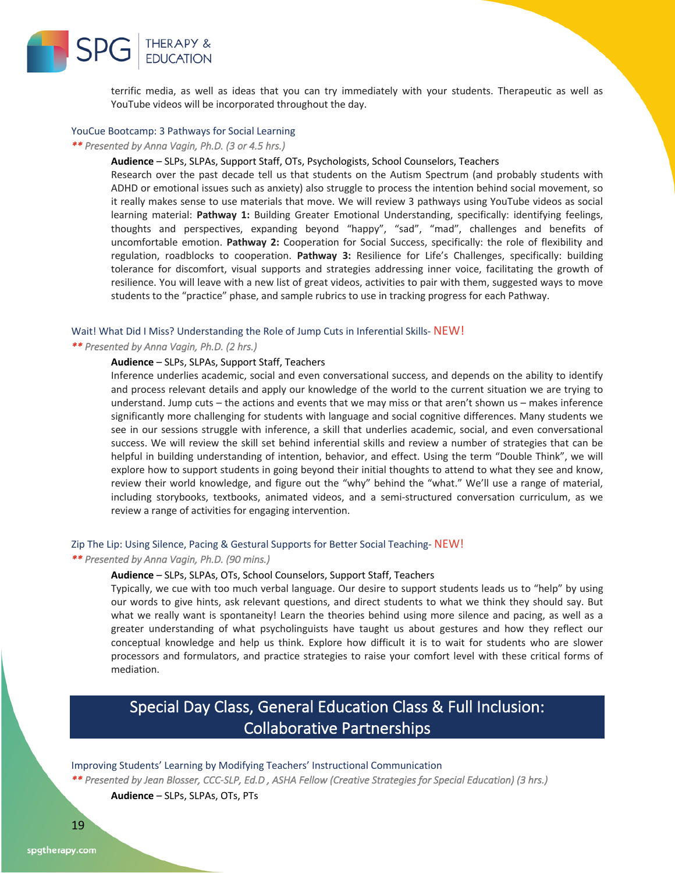

terrific media, as well as ideas that you can try immediately with your students. Therapeutic as well as YouTube videos will be incorporated throughout the day.

### YouCue Bootcamp: 3 Pathways for Social Learning

### *\*\* Presented by Anna Vagin, Ph.D. (3 or 4.5 hrs.)*

### **Audience** – SLPs, SLPAs, Support Staff, OTs, Psychologists, School Counselors, Teachers

Research over the past decade tell us that students on the Autism Spectrum (and probably students with ADHD or emotional issues such as anxiety) also struggle to process the intention behind social movement, so it really makes sense to use materials that move. We will review 3 pathways using YouTube videos as social learning material: **Pathway 1:** Building Greater Emotional Understanding, specifically: identifying feelings, thoughts and perspectives, expanding beyond "happy", "sad", "mad", challenges and benefits of uncomfortable emotion. **Pathway 2:** Cooperation for Social Success, specifically: the role of flexibility and regulation, roadblocks to cooperation. **Pathway 3:** Resilience for Life's Challenges, specifically: building tolerance for discomfort, visual supports and strategies addressing inner voice, facilitating the growth of resilience. You will leave with a new list of great videos, activities to pair with them, suggested ways to move students to the "practice" phase, and sample rubrics to use in tracking progress for each Pathway.

#### Wait! What Did I Miss? Understanding the Role of Jump Cuts in Inferential Skills- NEW!

### *\*\* Presented by Anna Vagin, Ph.D. (2 hrs.)*

### **Audience** – SLPs, SLPAs, Support Staff, Teachers

Inference underlies academic, social and even conversational success, and depends on the ability to identify and process relevant details and apply our knowledge of the world to the current situation we are trying to understand. Jump cuts – the actions and events that we may miss or that aren't shown us – makes inference significantly more challenging for students with language and social cognitive differences. Many students we see in our sessions struggle with inference, a skill that underlies academic, social, and even conversational success. We will review the skill set behind inferential skills and review a number of strategies that can be helpful in building understanding of intention, behavior, and effect. Using the term "Double Think", we will explore how to support students in going beyond their initial thoughts to attend to what they see and know, review their world knowledge, and figure out the "why" behind the "what." We'll use a range of material, including storybooks, textbooks, animated videos, and a semi-structured conversation curriculum, as we review a range of activities for engaging intervention.

### Zip The Lip: Using Silence, Pacing & Gestural Supports for Better Social Teaching- NEW!

### *\*\* Presented by Anna Vagin, Ph.D. (90 mins.)*

### **Audience** – SLPs, SLPAs, OTs, School Counselors, Support Staff, Teachers

Typically, we cue with too much verbal language. Our desire to support students leads us to "help" by using our words to give hints, ask relevant questions, and direct students to what we think they should say. But what we really want is spontaneity! Learn the theories behind using more silence and pacing, as well as a greater understanding of what psycholinguists have taught us about gestures and how they reflect our conceptual knowledge and help us think. Explore how difficult it is to wait for students who are slower processors and formulators, and practice strategies to raise your comfort level with these critical forms of mediation.

### Special Day Class, General Education Class & Full Inclusion: Collaborative Partnerships

### Improving Students' Learning by Modifying Teachers' Instructional Communication

*\*\* Presented by Jean Blosser, CCC-SLP, Ed.D , ASHA Fellow (Creative Strategies for Special Education) (3 hrs.)* 

**Audience** – SLPs, SLPAs, OTs, PTs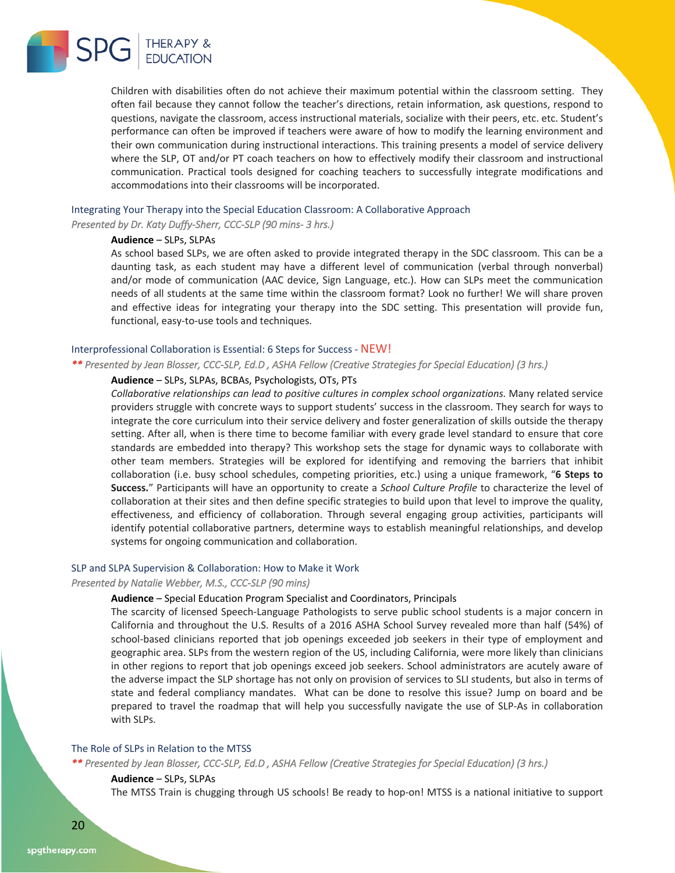

Children with disabilities often do not achieve their maximum potential within the classroom setting. They often fail because they cannot follow the teacher's directions, retain information, ask questions, respond to questions, navigate the classroom, access instructional materials, socialize with their peers, etc. etc. Student's performance can often be improved if teachers were aware of how to modify the learning environment and their own communication during instructional interactions. This training presents a model of service delivery where the SLP, OT and/or PT coach teachers on how to effectively modify their classroom and instructional communication. Practical tools designed for coaching teachers to successfully integrate modifications and accommodations into their classrooms will be incorporated.

### Integrating Your Therapy into the Special Education Classroom: A Collaborative Approach

*Presented by Dr. Katy Duffy-Sherr, CCC-SLP (90 mins- 3 hrs.)* 

### **Audience** – SLPs, SLPAs

As school based SLPs, we are often asked to provide integrated therapy in the SDC classroom. This can be a daunting task, as each student may have a different level of communication (verbal through nonverbal) and/or mode of communication (AAC device, Sign Language, etc.). How can SLPs meet the communication needs of all students at the same time within the classroom format? Look no further! We will share proven and effective ideas for integrating your therapy into the SDC setting. This presentation will provide fun, functional, easy-to-use tools and techniques.

### Interprofessional Collaboration is Essential: 6 Steps for Success - NEW!

*\*\* Presented by Jean Blosser, CCC-SLP, Ed.D , ASHA Fellow (Creative Strategies for Special Education) (3 hrs.)* 

### **Audience** – SLPs, SLPAs, BCBAs, Psychologists, OTs, PTs

*Collaborative relationships can lead to positive cultures in complex school organizations.* Many related service providers struggle with concrete ways to support students' success in the classroom. They search for ways to integrate the core curriculum into their service delivery and foster generalization of skills outside the therapy setting. After all, when is there time to become familiar with every grade level standard to ensure that core standards are embedded into therapy? This workshop sets the stage for dynamic ways to collaborate with other team members. Strategies will be explored for identifying and removing the barriers that inhibit collaboration (i.e. busy school schedules, competing priorities, etc.) using a unique framework, "**6 Steps to Success.**" Participants will have an opportunity to create a *School Culture Profile* to characterize the level of collaboration at their sites and then define specific strategies to build upon that level to improve the quality, effectiveness, and efficiency of collaboration. Through several engaging group activities, participants will identify potential collaborative partners, determine ways to establish meaningful relationships, and develop systems for ongoing communication and collaboration.

### SLP and SLPA Supervision & Collaboration: How to Make it Work

### *Presented by Natalie Webber, M.S., CCC-SLP (90 mins)*

### **Audience** – Special Education Program Specialist and Coordinators, Principals

The scarcity of licensed Speech-Language Pathologists to serve public school students is a major concern in California and throughout the U.S. Results of a 2016 ASHA School Survey revealed more than half (54%) of school-based clinicians reported that job openings exceeded job seekers in their type of employment and geographic area. SLPs from the western region of the US, including California, were more likely than clinicians in other regions to report that job openings exceed job seekers. School administrators are acutely aware of the adverse impact the SLP shortage has not only on provision of services to SLI students, but also in terms of state and federal compliancy mandates. What can be done to resolve this issue? Jump on board and be prepared to travel the roadmap that will help you successfully navigate the use of SLP-As in collaboration with SLPs.

### The Role of SLPs in Relation to the MTSS

*\*\* Presented by Jean Blosser, CCC-SLP, Ed.D , ASHA Fellow (Creative Strategies for Special Education) (3 hrs.)* 

### **Audience** – SLPs, SLPAs

The MTSS Train is chugging through US schools! Be ready to hop-on! MTSS is a national initiative to support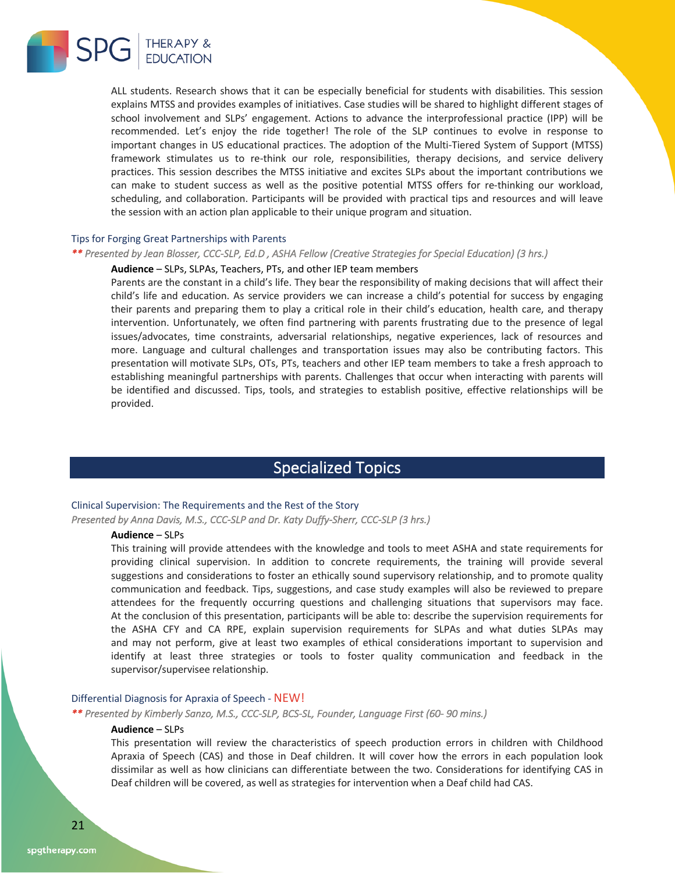

ALL students. Research shows that it can be especially beneficial for students with disabilities. This session explains MTSS and provides examples of initiatives. Case studies will be shared to highlight different stages of school involvement and SLPs' engagement. Actions to advance the interprofessional practice (IPP) will be recommended. Let's enjoy the ride together! The role of the SLP continues to evolve in response to important changes in US educational practices. The adoption of the Multi-Tiered System of Support (MTSS) framework stimulates us to re-think our role, responsibilities, therapy decisions, and service delivery practices. This session describes the MTSS initiative and excites SLPs about the important contributions we can make to student success as well as the positive potential MTSS offers for re-thinking our workload, scheduling, and collaboration. Participants will be provided with practical tips and resources and will leave the session with an action plan applicable to their unique program and situation.

### Tips for Forging Great Partnerships with Parents

### *\*\* Presented by Jean Blosser, CCC-SLP, Ed.D , ASHA Fellow (Creative Strategies for Special Education) (3 hrs.)*

### **Audience** – SLPs, SLPAs, Teachers, PTs, and other IEP team members

Parents are the constant in a child's life. They bear the responsibility of making decisions that will affect their child's life and education. As service providers we can increase a child's potential for success by engaging their parents and preparing them to play a critical role in their child's education, health care, and therapy intervention. Unfortunately, we often find partnering with parents frustrating due to the presence of legal issues/advocates, time constraints, adversarial relationships, negative experiences, lack of resources and more. Language and cultural challenges and transportation issues may also be contributing factors. This presentation will motivate SLPs, OTs, PTs, teachers and other IEP team members to take a fresh approach to establishing meaningful partnerships with parents. Challenges that occur when interacting with parents will be identified and discussed. Tips, tools, and strategies to establish positive, effective relationships will be provided.

### Specialized Topics

### Clinical Supervision: The Requirements and the Rest of the Story

*Presented by Anna Davis, M.S., CCC-SLP and Dr. Katy Duffy-Sherr, CCC-SLP (3 hrs.)* 

### **Audience** – SLPs

This training will provide attendees with the knowledge and tools to meet ASHA and state requirements for providing clinical supervision. In addition to concrete requirements, the training will provide several suggestions and considerations to foster an ethically sound supervisory relationship, and to promote quality communication and feedback. Tips, suggestions, and case study examples will also be reviewed to prepare attendees for the frequently occurring questions and challenging situations that supervisors may face. At the conclusion of this presentation, participants will be able to: describe the supervision requirements for the ASHA CFY and CA RPE, explain supervision requirements for SLPAs and what duties SLPAs may and may not perform, give at least two examples of ethical considerations important to supervision and identify at least three strategies or tools to foster quality communication and feedback in the supervisor/supervisee relationship.

### Differential Diagnosis for Apraxia of Speech - NEW!

*\*\* Presented by Kimberly Sanzo, M.S., CCC-SLP, BCS-SL, Founder, Language First (60- 90 mins.)* 

### **Audience** – SLPs

This presentation will review the characteristics of speech production errors in children with Childhood Apraxia of Speech (CAS) and those in Deaf children. It will cover how the errors in each population look dissimilar as well as how clinicians can differentiate between the two. Considerations for identifying CAS in Deaf children will be covered, as well as strategies for intervention when a Deaf child had CAS.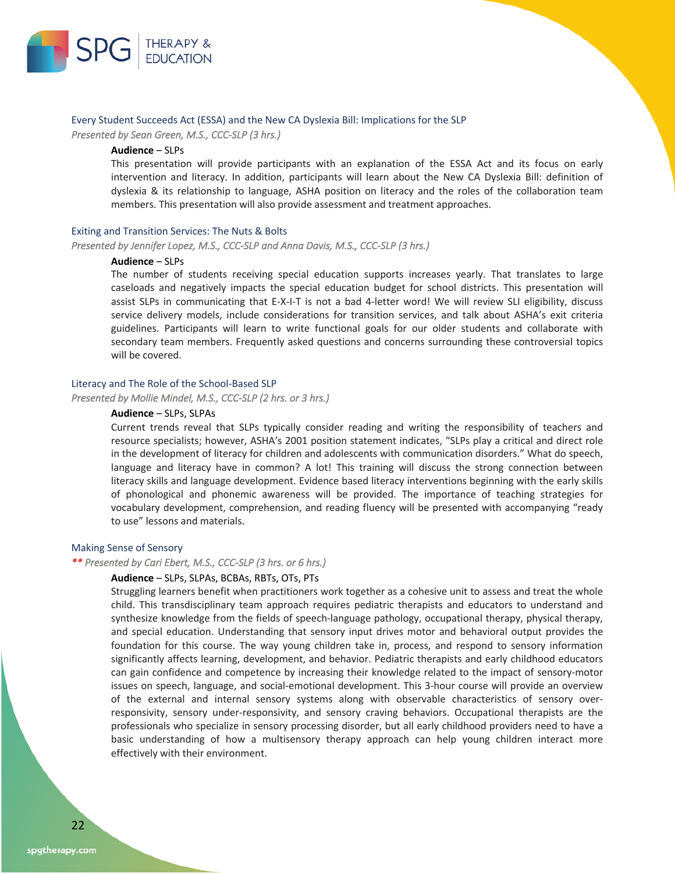

### Every Student Succeeds Act (ESSA) and the New CA Dyslexia Bill: Implications for the SLP

*Presented by Sean Green, M.S., CCC-SLP (3 hrs.)* 

### **Audience** – SLPs

This presentation will provide participants with an explanation of the ESSA Act and its focus on early intervention and literacy. In addition, participants will learn about the New CA Dyslexia Bill: definition of dyslexia & its relationship to language, ASHA position on literacy and the roles of the collaboration team members. This presentation will also provide assessment and treatment approaches.

### Exiting and Transition Services: The Nuts & Bolts

*Presented by Jennifer Lopez, M.S., CCC-SLP and Anna Davis, M.S., CCC-SLP (3 hrs.)* 

### **Audience** – SLPs

The number of students receiving special education supports increases yearly. That translates to large caseloads and negatively impacts the special education budget for school districts. This presentation will assist SLPs in communicating that E-X-I-T is not a bad 4-letter word! We will review SLI eligibility, discuss service delivery models, include considerations for transition services, and talk about ASHA's exit criteria guidelines. Participants will learn to write functional goals for our older students and collaborate with secondary team members. Frequently asked questions and concerns surrounding these controversial topics will be covered.

### Literacy and The Role of the School-Based SLP

*Presented by Mollie Mindel, M.S., CCC-SLP (2 hrs. or 3 hrs.)* 

### **Audience** – SLPs, SLPAs

Current trends reveal that SLPs typically consider reading and writing the responsibility of teachers and resource specialists; however, ASHA's 2001 position statement indicates, "SLPs play a critical and direct role in the development of literacy for children and adolescents with communication disorders." What do speech, language and literacy have in common? A lot! This training will discuss the strong connection between literacy skills and language development. Evidence based literacy interventions beginning with the early skills of phonological and phonemic awareness will be provided. The importance of teaching strategies for vocabulary development, comprehension, and reading fluency will be presented with accompanying "ready to use" lessons and materials.

### Making Sense of Sensory

*\*\* Presented by Cari Ebert, M.S., CCC-SLP (3 hrs. or 6 hrs.)* 

### **Audience** – SLPs, SLPAs, BCBAs, RBTs, OTs, PTs

Struggling learners benefit when practitioners work together as a cohesive unit to assess and treat the whole child. This transdisciplinary team approach requires pediatric therapists and educators to understand and synthesize knowledge from the fields of speech-language pathology, occupational therapy, physical therapy, and special education. Understanding that sensory input drives motor and behavioral output provides the foundation for this course. The way young children take in, process, and respond to sensory information significantly affects learning, development, and behavior. Pediatric therapists and early childhood educators can gain confidence and competence by increasing their knowledge related to the impact of sensory-motor issues on speech, language, and social-emotional development. This 3-hour course will provide an overview of the external and internal sensory systems along with observable characteristics of sensory overresponsivity, sensory under-responsivity, and sensory craving behaviors. Occupational therapists are the professionals who specialize in sensory processing disorder, but all early childhood providers need to have a basic understanding of how a multisensory therapy approach can help young children interact more effectively with their environment.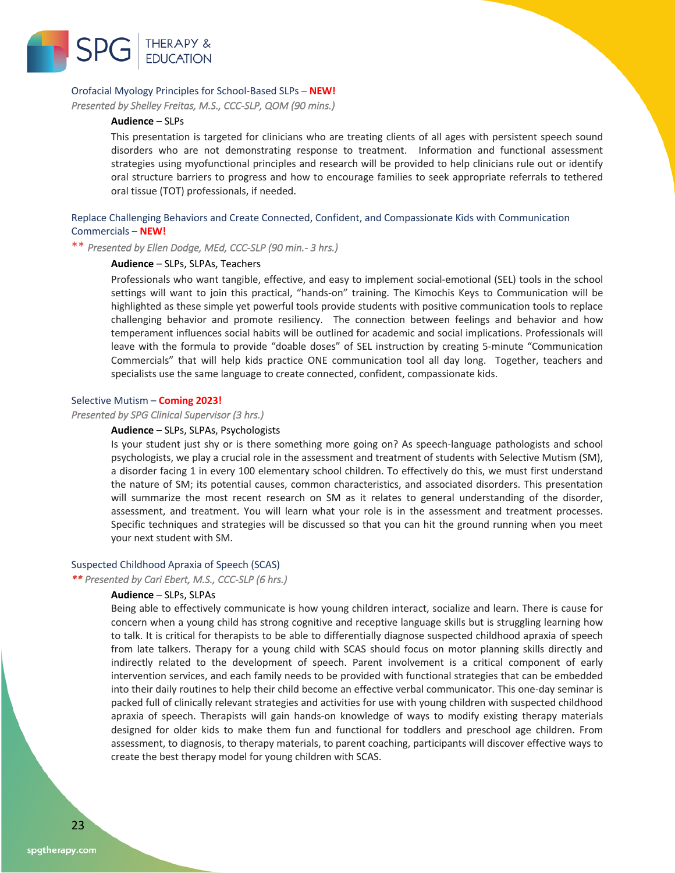

### Orofacial Myology Principles for School-Based SLPs – **NEW!**

*Presented by Shelley Freitas, M.S., CCC-SLP, QOM (90 mins.)* 

### **Audience** – SLPs

This presentation is targeted for clinicians who are treating clients of all ages with persistent speech sound disorders who are not demonstrating response to treatment. Information and functional assessment strategies using myofunctional principles and research will be provided to help clinicians rule out or identify oral structure barriers to progress and how to encourage families to seek appropriate referrals to tethered oral tissue (TOT) professionals, if needed.

### Replace Challenging Behaviors and Create Connected, Confident, and Compassionate Kids with Communication Commercials – **NEW!**

\*\* *Presented by Ellen Dodge, MEd, CCC-SLP (90 min.- 3 hrs.)* 

### **Audience** – SLPs, SLPAs, Teachers

Professionals who want tangible, effective, and easy to implement social-emotional (SEL) tools in the school settings will want to join this practical, "hands-on" training. The Kimochis Keys to Communication will be highlighted as these simple yet powerful tools provide students with positive communication tools to replace challenging behavior and promote resiliency. The connection between feelings and behavior and how temperament influences social habits will be outlined for academic and social implications. Professionals will leave with the formula to provide "doable doses" of SEL instruction by creating 5-minute "Communication Commercials" that will help kids practice ONE communication tool all day long. Together, teachers and specialists use the same language to create connected, confident, compassionate kids.

### Selective Mutism – **Coming 2023!**

*Presented by SPG Clinical Supervisor (3 hrs.)* 

#### **Audience** – SLPs, SLPAs, Psychologists

Is your student just shy or is there something more going on? As speech-language pathologists and school psychologists, we play a crucial role in the assessment and treatment of students with Selective Mutism (SM), a disorder facing 1 in every 100 elementary school children. To effectively do this, we must first understand the nature of SM; its potential causes, common characteristics, and associated disorders. This presentation will summarize the most recent research on SM as it relates to general understanding of the disorder, assessment, and treatment. You will learn what your role is in the assessment and treatment processes. Specific techniques and strategies will be discussed so that you can hit the ground running when you meet your next student with SM.

#### Suspected Childhood Apraxia of Speech (SCAS)

*\*\* Presented by Cari Ebert, M.S., CCC-SLP (6 hrs.)* 

### **Audience** – SLPs, SLPAs

Being able to effectively communicate is how young children interact, socialize and learn. There is cause for concern when a young child has strong cognitive and receptive language skills but is struggling learning how to talk. It is critical for therapists to be able to differentially diagnose suspected childhood apraxia of speech from late talkers. Therapy for a young child with SCAS should focus on motor planning skills directly and indirectly related to the development of speech. Parent involvement is a critical component of early intervention services, and each family needs to be provided with functional strategies that can be embedded into their daily routines to help their child become an effective verbal communicator. This one-day seminar is packed full of clinically relevant strategies and activities for use with young children with suspected childhood apraxia of speech. Therapists will gain hands-on knowledge of ways to modify existing therapy materials designed for older kids to make them fun and functional for toddlers and preschool age children. From assessment, to diagnosis, to therapy materials, to parent coaching, participants will discover effective ways to create the best therapy model for young children with SCAS.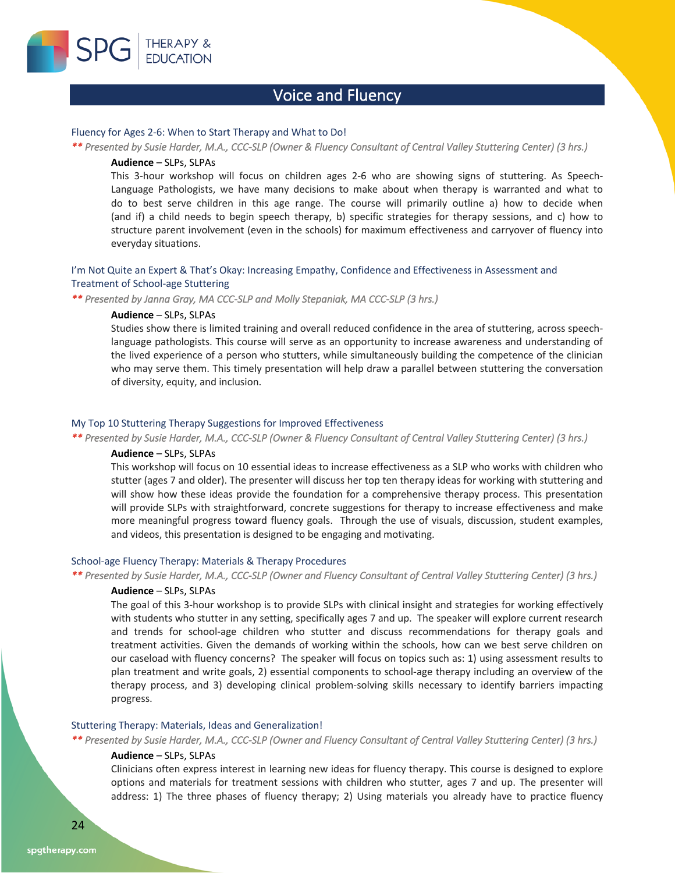

### Voice and Fluency

### Fluency for Ages 2-6: When to Start Therapy and What to Do!

*\*\* Presented by Susie Harder, M.A., CCC-SLP (Owner & Fluency Consultant of Central Valley Stuttering Center) (3 hrs.)* 

### **Audience** – SLPs, SLPAs

This 3-hour workshop will focus on children ages 2-6 who are showing signs of stuttering. As Speech-Language Pathologists, we have many decisions to make about when therapy is warranted and what to do to best serve children in this age range. The course will primarily outline a) how to decide when (and if) a child needs to begin speech therapy, b) specific strategies for therapy sessions, and c) how to structure parent involvement (even in the schools) for maximum effectiveness and carryover of fluency into everyday situations.

### I'm Not Quite an Expert & That's Okay: Increasing Empathy, Confidence and Effectiveness in Assessment and Treatment of School-age Stuttering

*\*\* Presented by Janna Gray, MA CCC-SLP and Molly Stepaniak, MA CCC-SLP (3 hrs.)* 

### **Audience** – SLPs, SLPAs

Studies show there is limited training and overall reduced confidence in the area of stuttering, across speechlanguage pathologists. This course will serve as an opportunity to increase awareness and understanding of the lived experience of a person who stutters, while simultaneously building the competence of the clinician who may serve them. This timely presentation will help draw a parallel between stuttering the conversation of diversity, equity, and inclusion.

### My Top 10 Stuttering Therapy Suggestions for Improved Effectiveness

*\*\* Presented by Susie Harder, M.A., CCC-SLP (Owner & Fluency Consultant of Central Valley Stuttering Center) (3 hrs.)* 

### **Audience** – SLPs, SLPAs

This workshop will focus on 10 essential ideas to increase effectiveness as a SLP who works with children who stutter (ages 7 and older). The presenter will discuss her top ten therapy ideas for working with stuttering and will show how these ideas provide the foundation for a comprehensive therapy process. This presentation will provide SLPs with straightforward, concrete suggestions for therapy to increase effectiveness and make more meaningful progress toward fluency goals. Through the use of visuals, discussion, student examples, and videos, this presentation is designed to be engaging and motivating.

### School-age Fluency Therapy: Materials & Therapy Procedures

### *\*\* Presented by Susie Harder, M.A., CCC-SLP (Owner and Fluency Consultant of Central Valley Stuttering Center) (3 hrs.)*

### **Audience** – SLPs, SLPAs

The goal of this 3-hour workshop is to provide SLPs with clinical insight and strategies for working effectively with students who stutter in any setting, specifically ages 7 and up. The speaker will explore current research and trends for school-age children who stutter and discuss recommendations for therapy goals and treatment activities. Given the demands of working within the schools, how can we best serve children on our caseload with fluency concerns? The speaker will focus on topics such as: 1) using assessment results to plan treatment and write goals, 2) essential components to school-age therapy including an overview of the therapy process, and 3) developing clinical problem-solving skills necessary to identify barriers impacting progress.

### Stuttering Therapy: Materials, Ideas and Generalization!

*\*\* Presented by Susie Harder, M.A., CCC-SLP (Owner and Fluency Consultant of Central Valley Stuttering Center) (3 hrs.)* 

### **Audience** – SLPs, SLPAs

Clinicians often express interest in learning new ideas for fluency therapy. This course is designed to explore options and materials for treatment sessions with children who stutter, ages 7 and up. The presenter will address: 1) The three phases of fluency therapy; 2) Using materials you already have to practice fluency